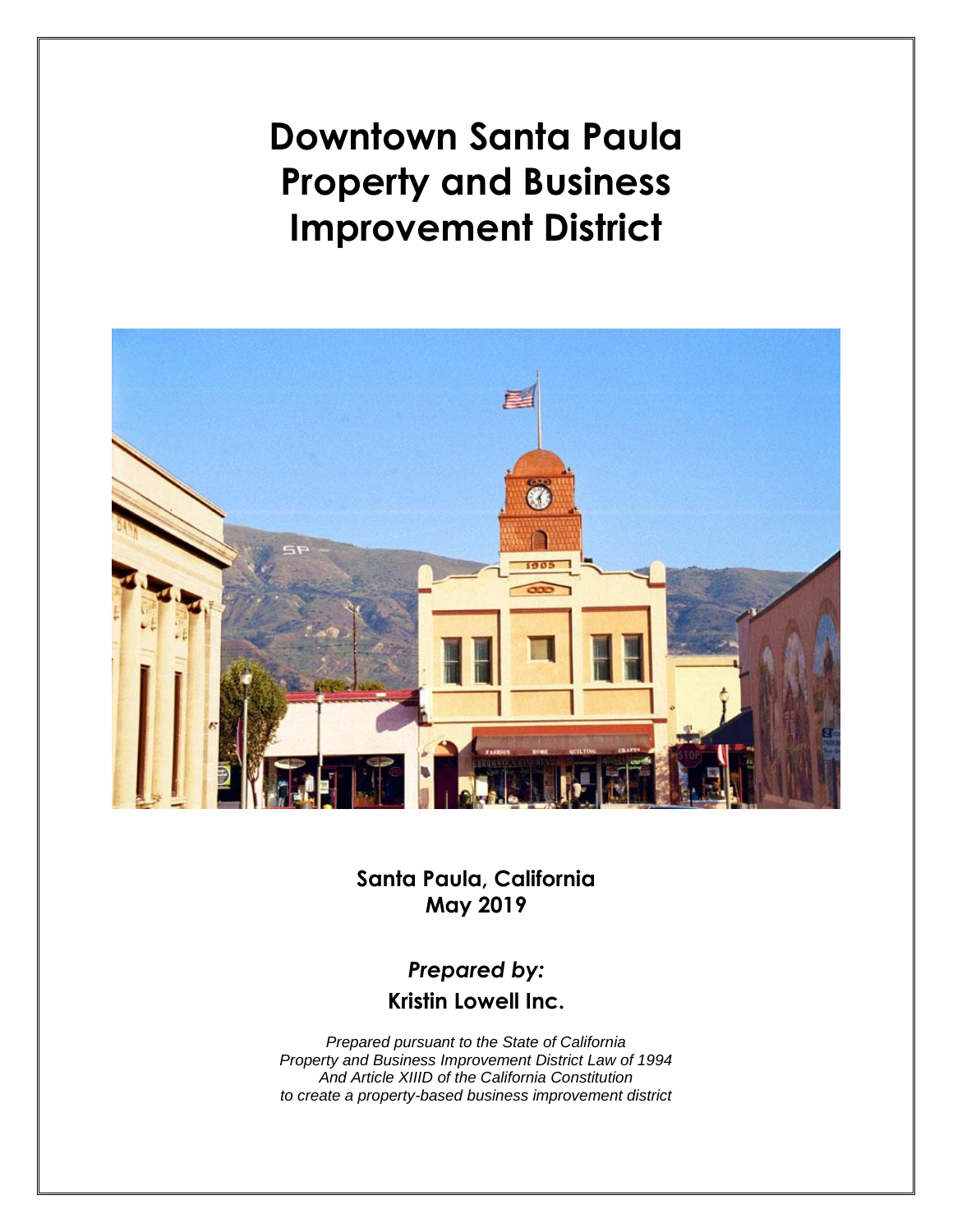**Downtown Santa Paula Property and Business Improvement District**



**Santa Paula, California May 2019**

# *Prepared by:* **Kristin Lowell Inc.**

*Prepared pursuant to the State of California Property and Business Improvement District Law of 1994 And Article XIIID of the California Constitution to create a property-based business improvement district*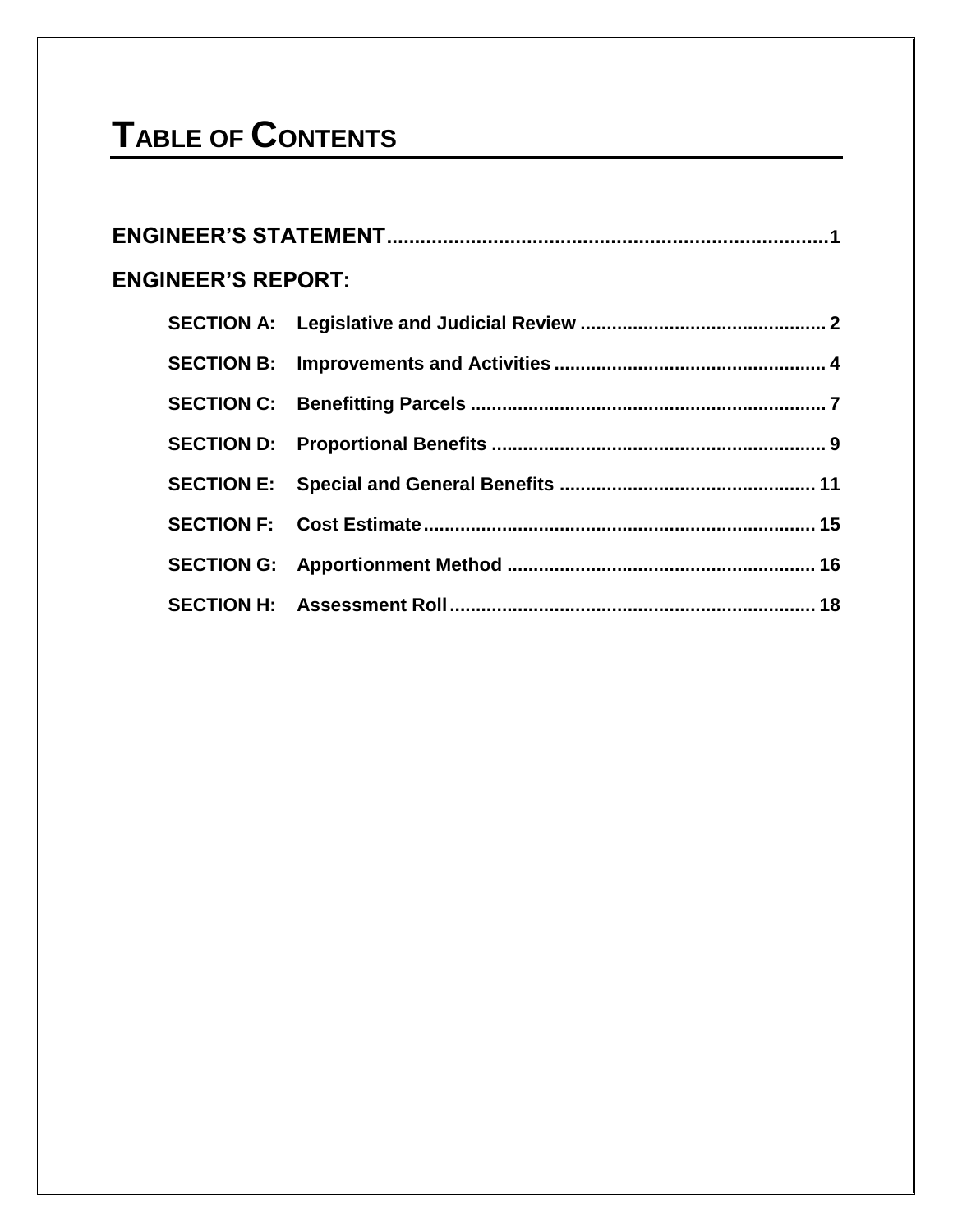# **TABLE OF CONTENTS**

| <b>ENGINEER'S REPORT:</b> |  |
|---------------------------|--|
|                           |  |
|                           |  |
|                           |  |
|                           |  |
|                           |  |
|                           |  |
|                           |  |
|                           |  |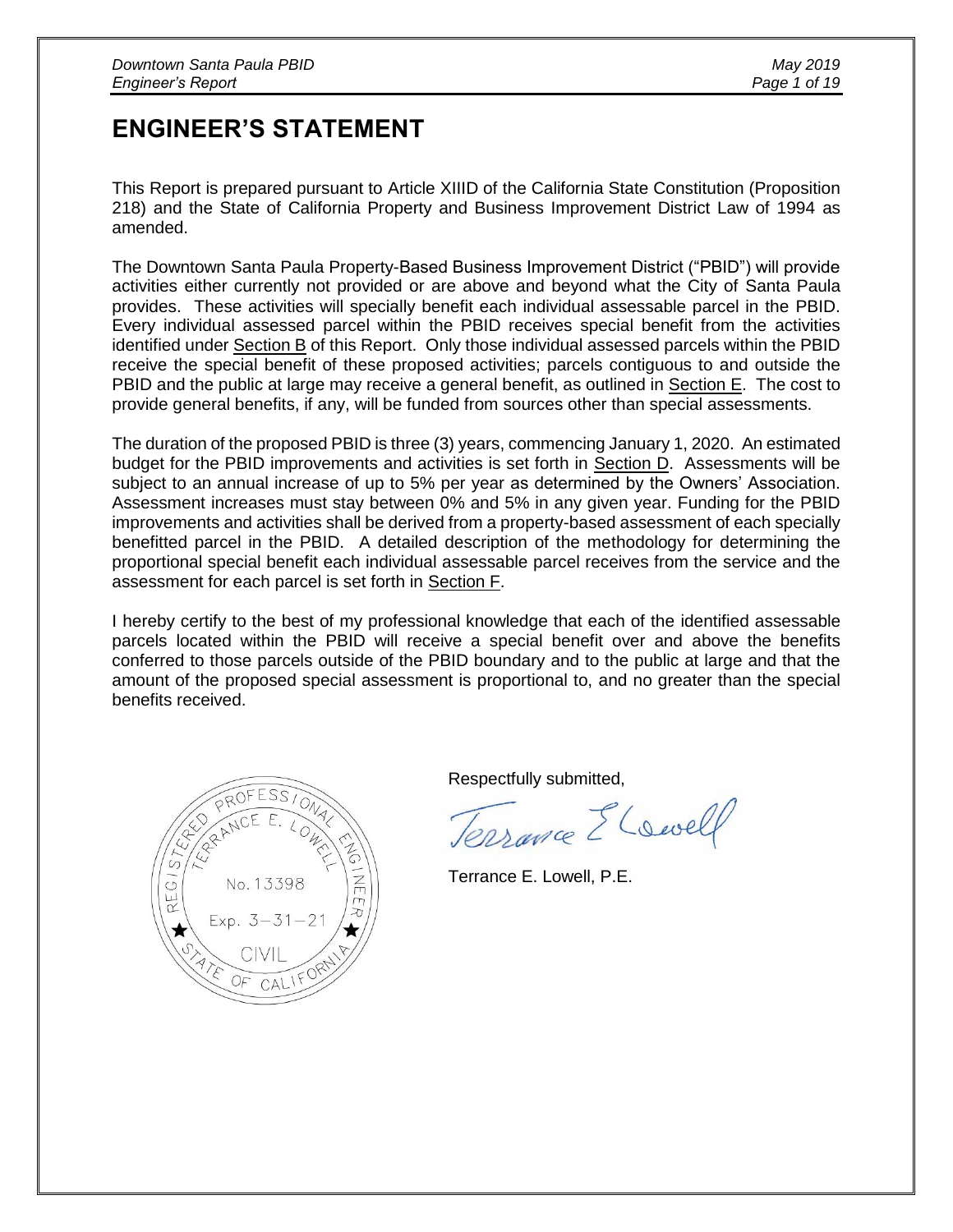# **ENGINEER'S STATEMENT**

This Report is prepared pursuant to Article XIIID of the California State Constitution (Proposition 218) and the State of California Property and Business Improvement District Law of 1994 as amended.

The Downtown Santa Paula Property-Based Business Improvement District ("PBID") will provide activities either currently not provided or are above and beyond what the City of Santa Paula provides. These activities will specially benefit each individual assessable parcel in the PBID. Every individual assessed parcel within the PBID receives special benefit from the activities identified under Section B of this Report. Only those individual assessed parcels within the PBID receive the special benefit of these proposed activities; parcels contiguous to and outside the PBID and the public at large may receive a general benefit, as outlined in Section E. The cost to provide general benefits, if any, will be funded from sources other than special assessments.

The duration of the proposed PBID is three (3) years, commencing January 1, 2020. An estimated budget for the PBID improvements and activities is set forth in Section D. Assessments will be subject to an annual increase of up to 5% per year as determined by the Owners' Association. Assessment increases must stay between 0% and 5% in any given year. Funding for the PBID improvements and activities shall be derived from a property-based assessment of each specially benefitted parcel in the PBID. A detailed description of the methodology for determining the proportional special benefit each individual assessable parcel receives from the service and the assessment for each parcel is set forth in Section F.

I hereby certify to the best of my professional knowledge that each of the identified assessable parcels located within the PBID will receive a special benefit over and above the benefits conferred to those parcels outside of the PBID boundary and to the public at large and that the amount of the proposed special assessment is proportional to, and no greater than the special benefits received.



Respectfully submitted,

Terraine El swell

Terrance E. Lowell, P.E.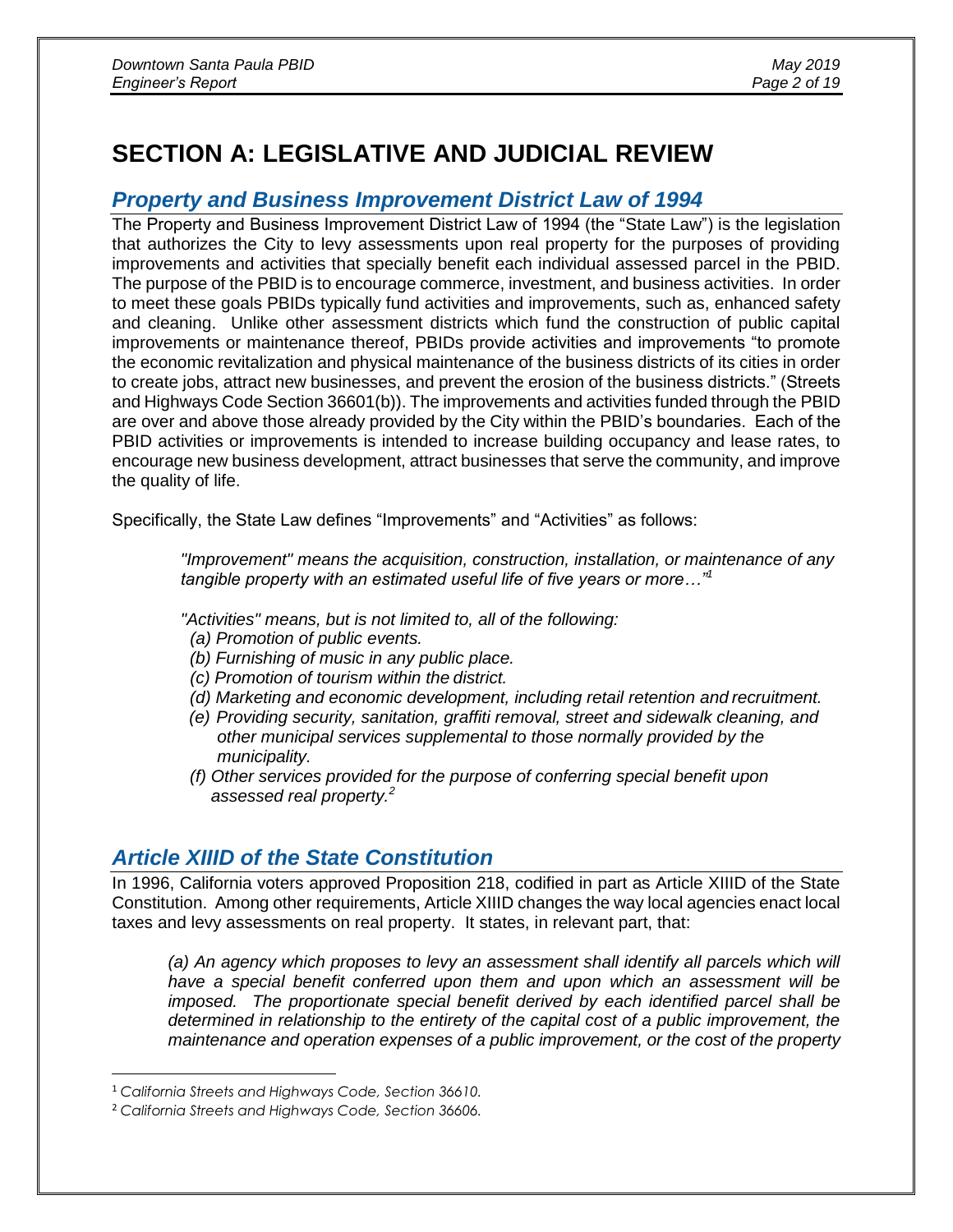# **SECTION A: LEGISLATIVE AND JUDICIAL REVIEW**

### *Property and Business Improvement District Law of 1994*

The Property and Business Improvement District Law of 1994 (the "State Law") is the legislation that authorizes the City to levy assessments upon real property for the purposes of providing improvements and activities that specially benefit each individual assessed parcel in the PBID. The purpose of the PBID is to encourage commerce, investment, and business activities. In order to meet these goals PBIDs typically fund activities and improvements, such as, enhanced safety and cleaning. Unlike other assessment districts which fund the construction of public capital improvements or maintenance thereof, PBIDs provide activities and improvements "to promote the economic revitalization and physical maintenance of the business districts of its cities in order to create jobs, attract new businesses, and prevent the erosion of the business districts." (Streets and Highways Code Section 36601(b)). The improvements and activities funded through the PBID are over and above those already provided by the City within the PBID's boundaries. Each of the PBID activities or improvements is intended to increase building occupancy and lease rates, to encourage new business development, attract businesses that serve the community, and improve the quality of life.

Specifically, the State Law defines "Improvements" and "Activities" as follows:

*"Improvement" means the acquisition, construction, installation, or maintenance of any tangible property with an estimated useful life of five years or more…"<sup>1</sup>*

*"Activities" means, but is not limited to, all of the following:*

- *(a) Promotion of public events.*
- *(b) Furnishing of music in any public place.*
- *(c) Promotion of tourism within the district.*
- *(d) Marketing and economic development, including retail retention and recruitment.*
- *(e) Providing security, sanitation, graffiti removal, street and sidewalk cleaning, and other municipal services supplemental to those normally provided by the municipality.*
- *(f) Other services provided for the purpose of conferring special benefit upon assessed real property.<sup>2</sup>*

# *Article XIIID of the State Constitution*

In 1996, California voters approved Proposition 218, codified in part as Article XIIID of the State Constitution. Among other requirements, Article XIIID changes the way local agencies enact local taxes and levy assessments on real property. It states, in relevant part, that:

*(a) An agency which proposes to levy an assessment shall identify all parcels which will have a special benefit conferred upon them and upon which an assessment will be imposed. The proportionate special benefit derived by each identified parcel shall be determined in relationship to the entirety of the capital cost of a public improvement, the maintenance and operation expenses of a public improvement, or the cost of the property* 

 $\overline{a}$ 

<sup>1</sup> *California Streets and Highways Code, Section 36610.*

<sup>2</sup> *California Streets and Highways Code, Section 36606.*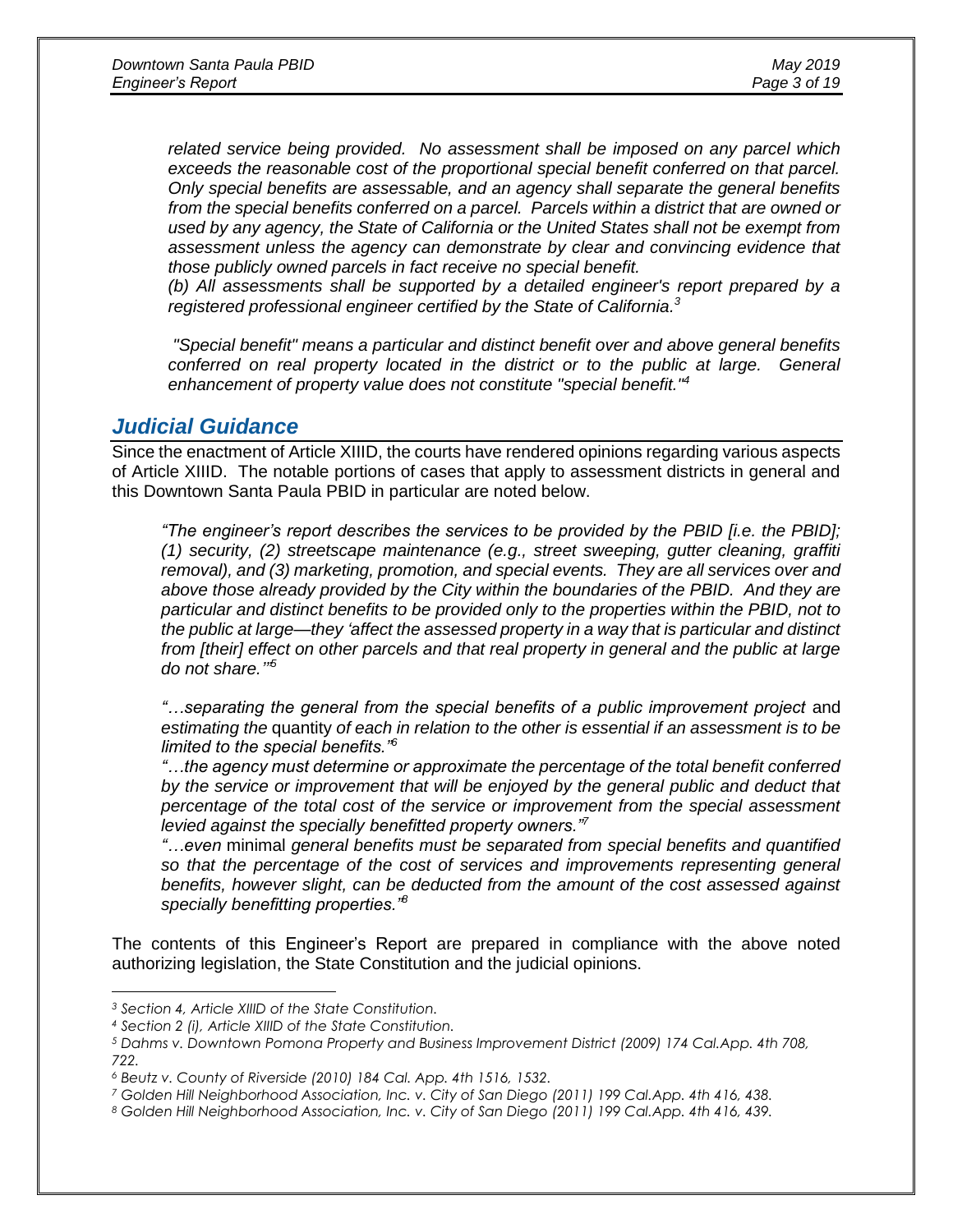*related service being provided. No assessment shall be imposed on any parcel which exceeds the reasonable cost of the proportional special benefit conferred on that parcel. Only special benefits are assessable, and an agency shall separate the general benefits from the special benefits conferred on a parcel. Parcels within a district that are owned or used by any agency, the State of California or the United States shall not be exempt from assessment unless the agency can demonstrate by clear and convincing evidence that those publicly owned parcels in fact receive no special benefit.*

*(b) All assessments shall be supported by a detailed engineer's report prepared by a registered professional engineer certified by the State of California. 3*

*"Special benefit" means a particular and distinct benefit over and above general benefits conferred on real property located in the district or to the public at large. General enhancement of property value does not constitute "special benefit."<sup>4</sup>*

### *Judicial Guidance*

Since the enactment of Article XIIID, the courts have rendered opinions regarding various aspects of Article XIIID. The notable portions of cases that apply to assessment districts in general and this Downtown Santa Paula PBID in particular are noted below.

*"The engineer's report describes the services to be provided by the PBID [i.e. the PBID]; (1) security, (2) streetscape maintenance (e.g., street sweeping, gutter cleaning, graffiti removal), and (3) marketing, promotion, and special events. They are all services over and above those already provided by the City within the boundaries of the PBID. And they are particular and distinct benefits to be provided only to the properties within the PBID, not to the public at large—they 'affect the assessed property in a way that is particular and distinct from [their] effect on other parcels and that real property in general and the public at large do not share.'" 5*

"...separating the general from the special benefits of a public improvement project and *estimating the* quantity *of each in relation to the other is essential if an assessment is to be limited to the special benefits."<sup>6</sup>*

*"…the agency must determine or approximate the percentage of the total benefit conferred by the service or improvement that will be enjoyed by the general public and deduct that percentage of the total cost of the service or improvement from the special assessment levied against the specially benefitted property owners."<sup>7</sup>*

*"…even* minimal *general benefits must be separated from special benefits and quantified*  so that the percentage of the cost of services and improvements representing general *benefits, however slight, can be deducted from the amount of the cost assessed against specially benefitting properties."<sup>8</sup>*

The contents of this Engineer's Report are prepared in compliance with the above noted authorizing legislation, the State Constitution and the judicial opinions.

 $\overline{a}$ 

*<sup>3</sup> Section 4, Article XIIID of the State Constitution.*

*<sup>4</sup> Section 2 (i), Article XIIID of the State Constitution.*

*<sup>5</sup> Dahms v. Downtown Pomona Property and Business Improvement District (2009) 174 Cal.App. 4th 708, 722.*

*<sup>6</sup> Beutz v. County of Riverside (2010) 184 Cal. App. 4th 1516, 1532.*

*<sup>7</sup> Golden Hill Neighborhood Association, Inc. v. City of San Diego (2011) 199 Cal.App. 4th 416, 438.*

*<sup>8</sup> Golden Hill Neighborhood Association, Inc. v. City of San Diego (2011) 199 Cal.App. 4th 416, 439.*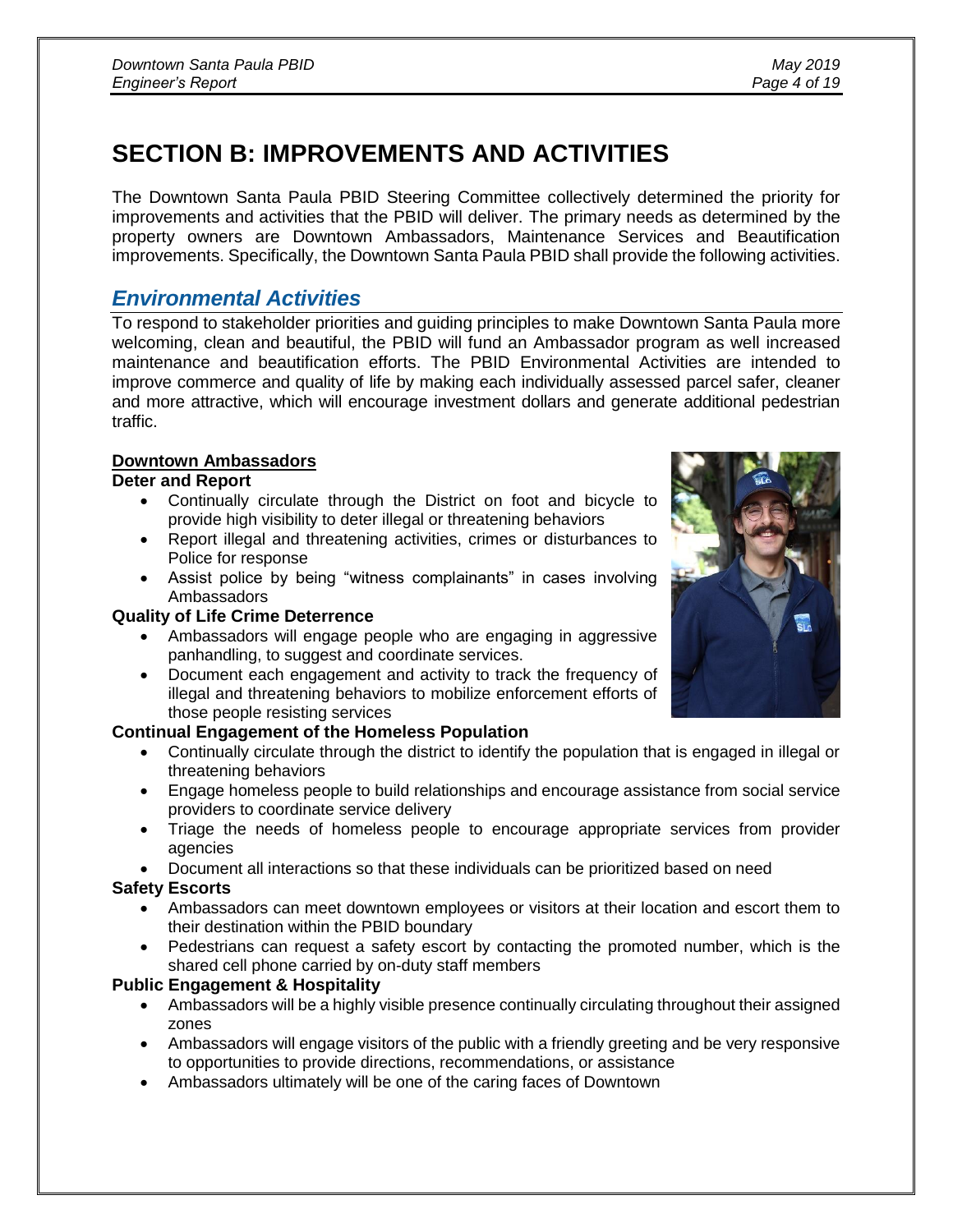# **SECTION B: IMPROVEMENTS AND ACTIVITIES**

The Downtown Santa Paula PBID Steering Committee collectively determined the priority for improvements and activities that the PBID will deliver. The primary needs as determined by the property owners are Downtown Ambassadors, Maintenance Services and Beautification improvements. Specifically, the Downtown Santa Paula PBID shall provide the following activities.

# *Environmental Activities*

To respond to stakeholder priorities and guiding principles to make Downtown Santa Paula more welcoming, clean and beautiful, the PBID will fund an Ambassador program as well increased maintenance and beautification efforts. The PBID Environmental Activities are intended to improve commerce and quality of life by making each individually assessed parcel safer, cleaner and more attractive, which will encourage investment dollars and generate additional pedestrian traffic.

### **Downtown Ambassadors**

### **Deter and Report**

- Continually circulate through the District on foot and bicycle to provide high visibility to deter illegal or threatening behaviors
- Report illegal and threatening activities, crimes or disturbances to Police for response
- Assist police by being "witness complainants" in cases involving Ambassadors

### **Quality of Life Crime Deterrence**

- Ambassadors will engage people who are engaging in aggressive panhandling, to suggest and coordinate services.
- Document each engagement and activity to track the frequency of illegal and threatening behaviors to mobilize enforcement efforts of those people resisting services

### **Continual Engagement of the Homeless Population**

- Continually circulate through the district to identify the population that is engaged in illegal or threatening behaviors
- Engage homeless people to build relationships and encourage assistance from social service providers to coordinate service delivery
- Triage the needs of homeless people to encourage appropriate services from provider agencies
- Document all interactions so that these individuals can be prioritized based on need

### **Safety Escorts**

- Ambassadors can meet downtown employees or visitors at their location and escort them to their destination within the PBID boundary
- Pedestrians can request a safety escort by contacting the promoted number, which is the shared cell phone carried by on-duty staff members

### **Public Engagement & Hospitality**

- Ambassadors will be a highly visible presence continually circulating throughout their assigned zones
- Ambassadors will engage visitors of the public with a friendly greeting and be very responsive to opportunities to provide directions, recommendations, or assistance
- Ambassadors ultimately will be one of the caring faces of Downtown

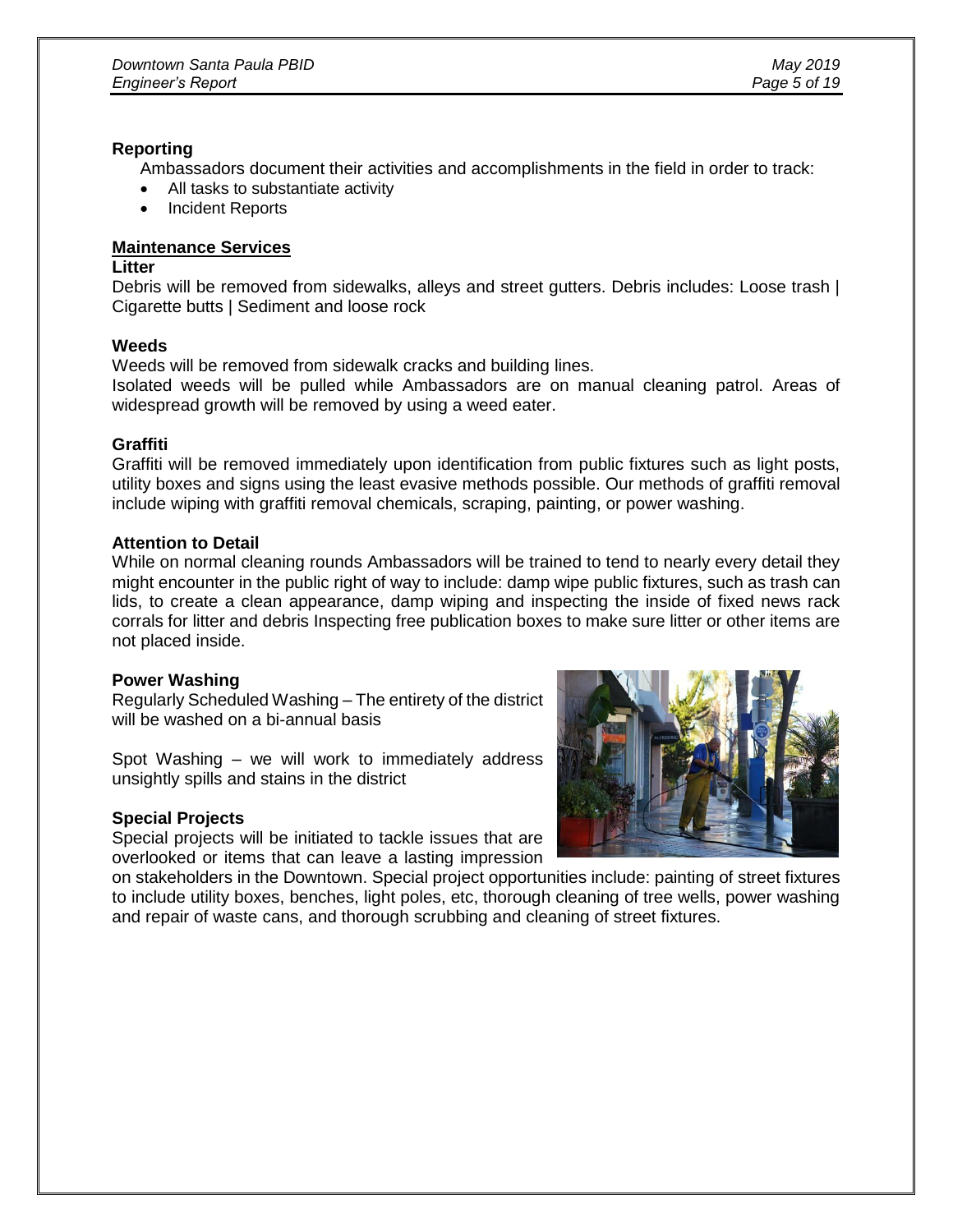#### **Reporting**

Ambassadors document their activities and accomplishments in the field in order to track:

- All tasks to substantiate activity
- Incident Reports

### **Maintenance Services**

#### **Litter**

Debris will be removed from sidewalks, alleys and street gutters. Debris includes: Loose trash | Cigarette butts | Sediment and loose rock

#### **Weeds**

Weeds will be removed from sidewalk cracks and building lines.

Isolated weeds will be pulled while Ambassadors are on manual cleaning patrol. Areas of widespread growth will be removed by using a weed eater.

#### **Graffiti**

Graffiti will be removed immediately upon identification from public fixtures such as light posts, utility boxes and signs using the least evasive methods possible. Our methods of graffiti removal include wiping with graffiti removal chemicals, scraping, painting, or power washing.

#### **Attention to Detail**

While on normal cleaning rounds Ambassadors will be trained to tend to nearly every detail they might encounter in the public right of way to include: damp wipe public fixtures, such as trash can lids, to create a clean appearance, damp wiping and inspecting the inside of fixed news rack corrals for litter and debris Inspecting free publication boxes to make sure litter or other items are not placed inside.

### **Power Washing**

Regularly Scheduled Washing – The entirety of the district will be washed on a bi-annual basis

Spot Washing – we will work to immediately address unsightly spills and stains in the district

### **Special Projects**

Special projects will be initiated to tackle issues that are overlooked or items that can leave a lasting impression



on stakeholders in the Downtown. Special project opportunities include: painting of street fixtures to include utility boxes, benches, light poles, etc, thorough cleaning of tree wells, power washing and repair of waste cans, and thorough scrubbing and cleaning of street fixtures.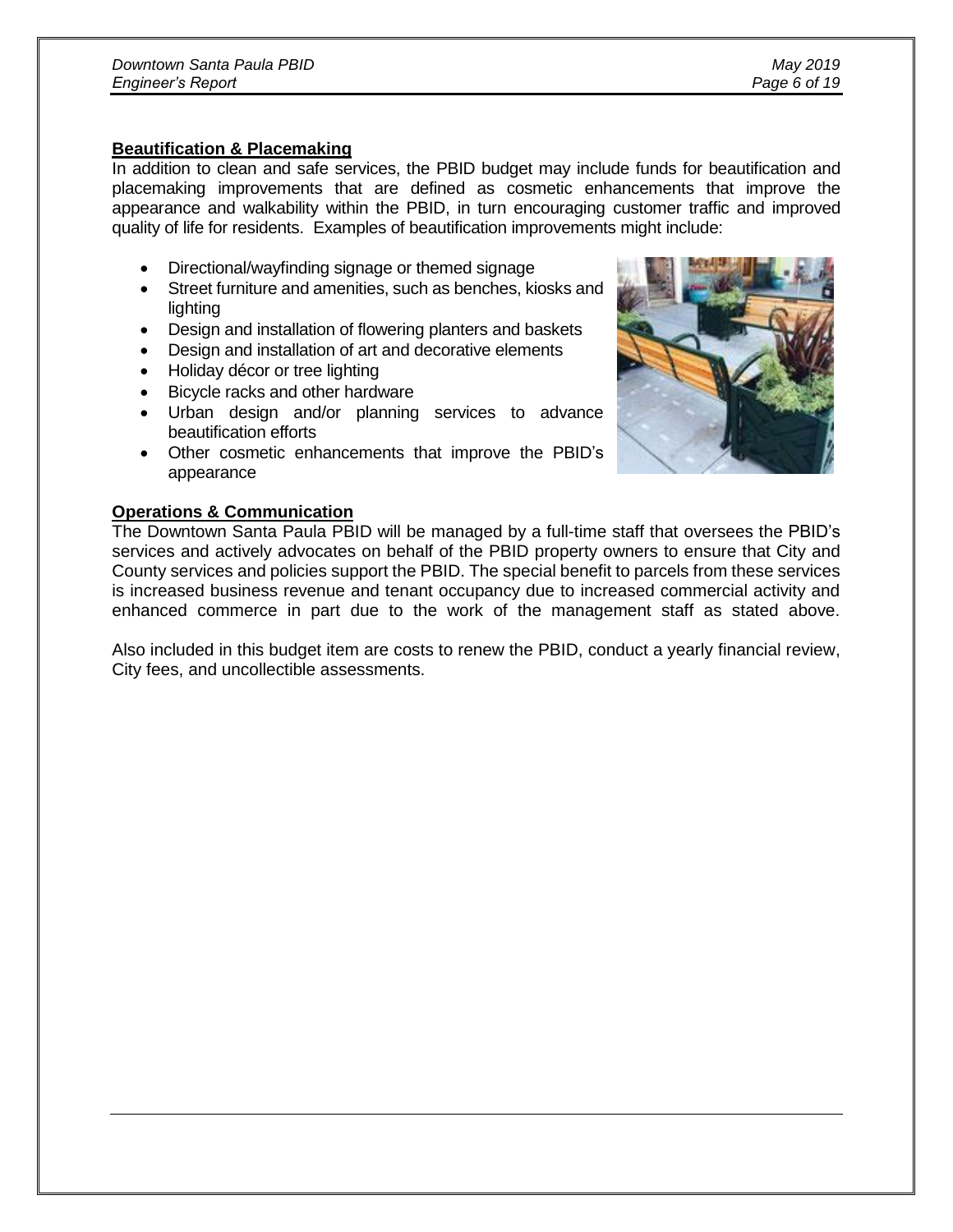#### **Beautification & Placemaking**

In addition to clean and safe services, the PBID budget may include funds for beautification and placemaking improvements that are defined as cosmetic enhancements that improve the appearance and walkability within the PBID, in turn encouraging customer traffic and improved quality of life for residents. Examples of beautification improvements might include:

- Directional/wayfinding signage or themed signage
- Street furniture and amenities, such as benches, kiosks and lighting
- Design and installation of flowering planters and baskets
- Design and installation of art and decorative elements
- Holiday décor or tree lighting
- Bicycle racks and other hardware
- Urban design and/or planning services to advance beautification efforts
- Other cosmetic enhancements that improve the PBID's appearance

### **Operations & Communication**

The Downtown Santa Paula PBID will be managed by a full-time staff that oversees the PBID's services and actively advocates on behalf of the PBID property owners to ensure that City and County services and policies support the PBID. The special benefit to parcels from these services is increased business revenue and tenant occupancy due to increased commercial activity and enhanced commerce in part due to the work of the management staff as stated above.

Also included in this budget item are costs to renew the PBID, conduct a yearly financial review, City fees, and uncollectible assessments.

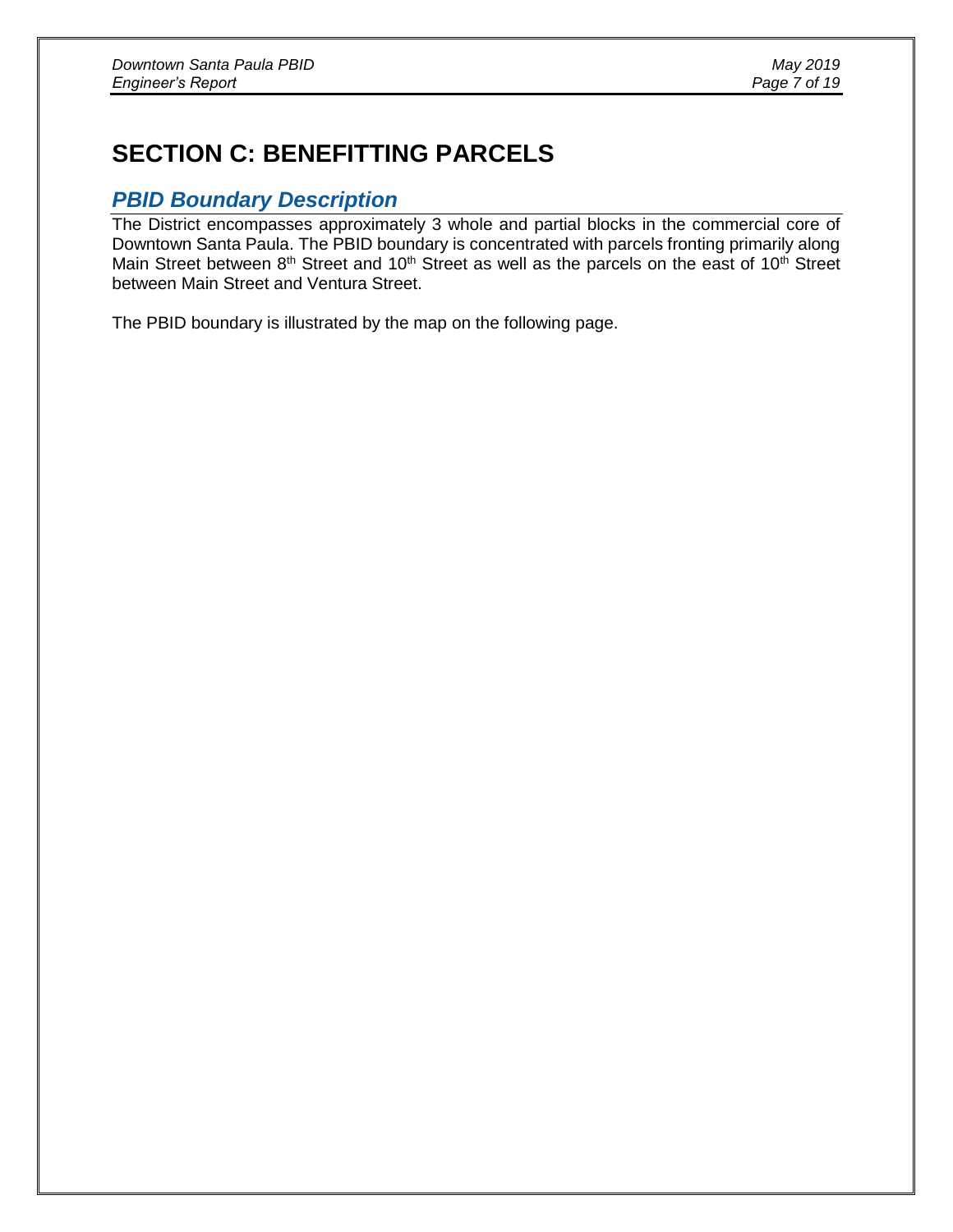# **SECTION C: BENEFITTING PARCELS**

### *PBID Boundary Description*

The District encompasses approximately 3 whole and partial blocks in the commercial core of Downtown Santa Paula. The PBID boundary is concentrated with parcels fronting primarily along Main Street between  $8<sup>th</sup>$  Street and 10<sup>th</sup> Street as well as the parcels on the east of 10<sup>th</sup> Street between Main Street and Ventura Street.

The PBID boundary is illustrated by the map on the following page.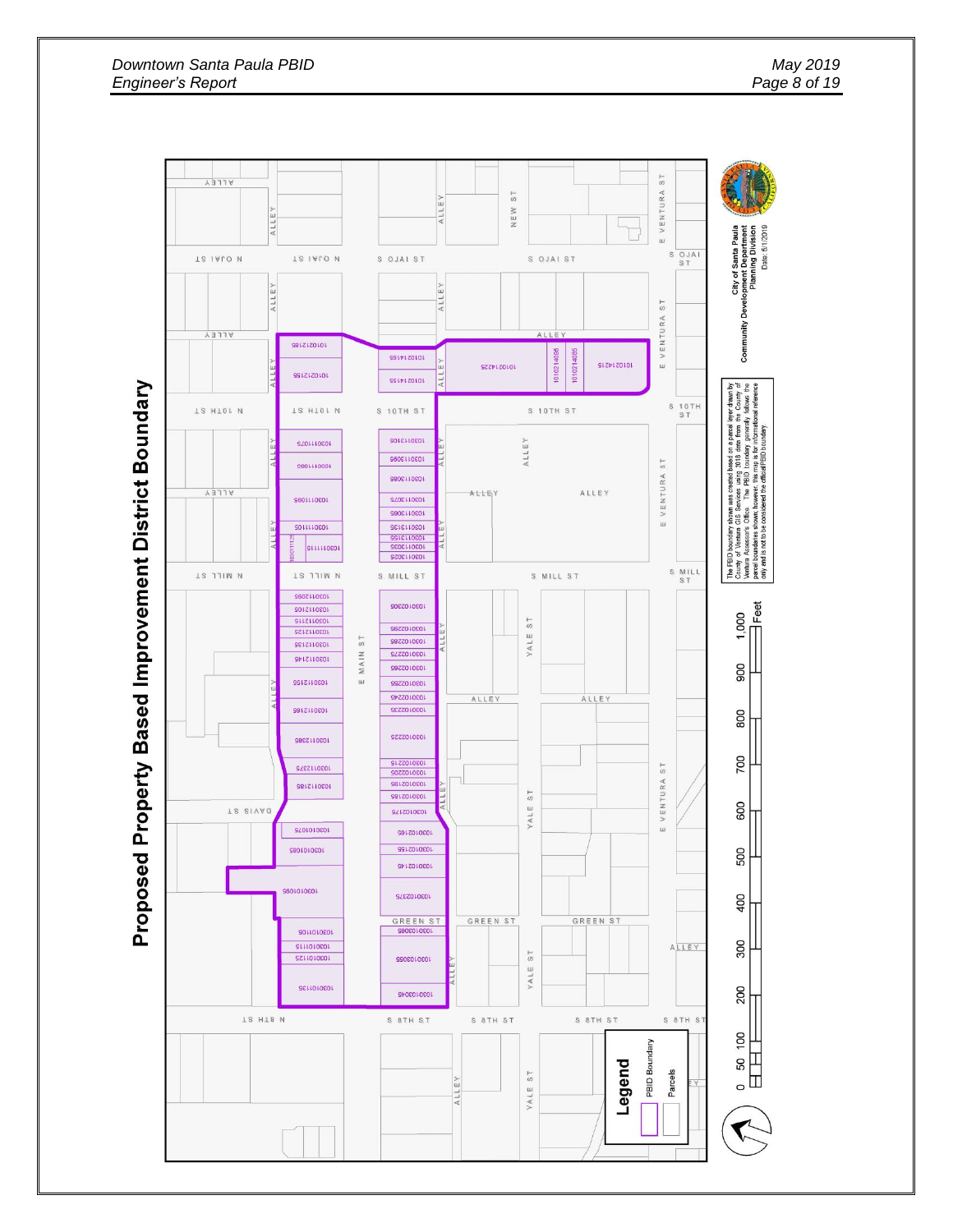

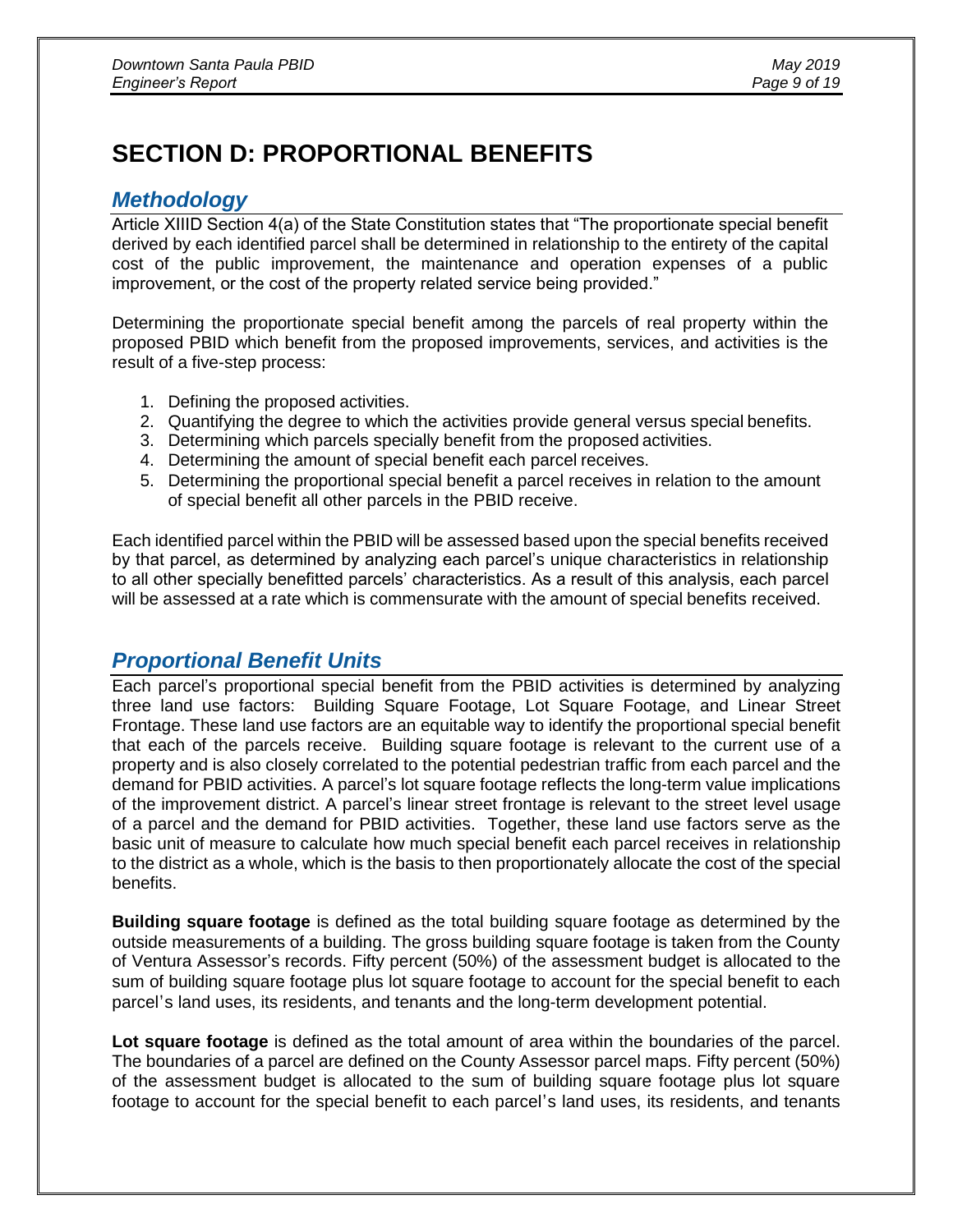# **SECTION D: PROPORTIONAL BENEFITS**

### *Methodology*

Article XIIID Section 4(a) of the State Constitution states that "The proportionate special benefit derived by each identified parcel shall be determined in relationship to the entirety of the capital cost of the public improvement, the maintenance and operation expenses of a public improvement, or the cost of the property related service being provided."

Determining the proportionate special benefit among the parcels of real property within the proposed PBID which benefit from the proposed improvements, services, and activities is the result of a five-step process:

- 1. Defining the proposed activities.
- 2. Quantifying the degree to which the activities provide general versus special benefits.
- 3. Determining which parcels specially benefit from the proposed activities.
- 4. Determining the amount of special benefit each parcel receives.
- 5. Determining the proportional special benefit a parcel receives in relation to the amount of special benefit all other parcels in the PBID receive.

Each identified parcel within the PBID will be assessed based upon the special benefits received by that parcel, as determined by analyzing each parcel's unique characteristics in relationship to all other specially benefitted parcels' characteristics. As a result of this analysis, each parcel will be assessed at a rate which is commensurate with the amount of special benefits received.

# *Proportional Benefit Units*

Each parcel's proportional special benefit from the PBID activities is determined by analyzing three land use factors: Building Square Footage, Lot Square Footage, and Linear Street Frontage. These land use factors are an equitable way to identify the proportional special benefit that each of the parcels receive. Building square footage is relevant to the current use of a property and is also closely correlated to the potential pedestrian traffic from each parcel and the demand for PBID activities. A parcel's lot square footage reflects the long-term value implications of the improvement district. A parcel's linear street frontage is relevant to the street level usage of a parcel and the demand for PBID activities. Together, these land use factors serve as the basic unit of measure to calculate how much special benefit each parcel receives in relationship to the district as a whole, which is the basis to then proportionately allocate the cost of the special benefits.

**Building square footage** is defined as the total building square footage as determined by the outside measurements of a building. The gross building square footage is taken from the County of Ventura Assessor's records. Fifty percent (50%) of the assessment budget is allocated to the sum of building square footage plus lot square footage to account for the special benefit to each parcel's land uses, its residents, and tenants and the long-term development potential.

**Lot square footage** is defined as the total amount of area within the boundaries of the parcel. The boundaries of a parcel are defined on the County Assessor parcel maps. Fifty percent (50%) of the assessment budget is allocated to the sum of building square footage plus lot square footage to account for the special benefit to each parcel's land uses, its residents, and tenants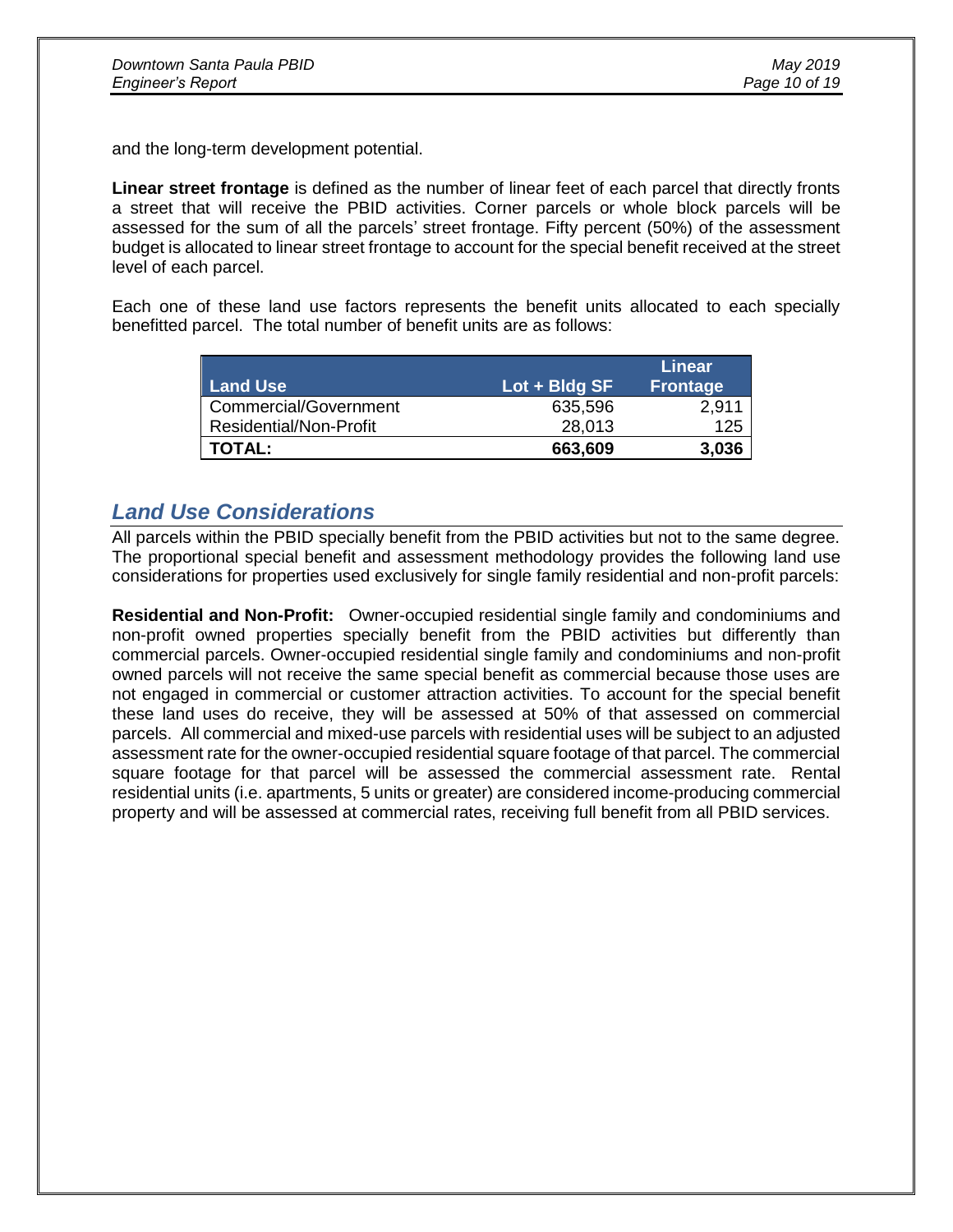and the long-term development potential.

**Linear street frontage** is defined as the number of linear feet of each parcel that directly fronts a street that will receive the PBID activities. Corner parcels or whole block parcels will be assessed for the sum of all the parcels' street frontage. Fifty percent (50%) of the assessment budget is allocated to linear street frontage to account for the special benefit received at the street level of each parcel.

Each one of these land use factors represents the benefit units allocated to each specially benefitted parcel. The total number of benefit units are as follows:

|                               |                                    | <b>Linear</b>   |
|-------------------------------|------------------------------------|-----------------|
| <b>Land Use</b>               | $\mathsf{Lot} + \mathsf{B}$ ldg SF | <b>Frontage</b> |
| Commercial/Government         | 635,596                            | 2,911           |
| <b>Residential/Non-Profit</b> | 28,013                             | 125             |
| <b>TOTAL:</b>                 | 663,609                            | 3,036           |

### *Land Use Considerations*

All parcels within the PBID specially benefit from the PBID activities but not to the same degree. The proportional special benefit and assessment methodology provides the following land use considerations for properties used exclusively for single family residential and non-profit parcels:

**Residential and Non-Profit:** Owner-occupied residential single family and condominiums and non-profit owned properties specially benefit from the PBID activities but differently than commercial parcels. Owner-occupied residential single family and condominiums and non-profit owned parcels will not receive the same special benefit as commercial because those uses are not engaged in commercial or customer attraction activities. To account for the special benefit these land uses do receive, they will be assessed at 50% of that assessed on commercial parcels. All commercial and mixed-use parcels with residential uses will be subject to an adjusted assessment rate for the owner-occupied residential square footage of that parcel. The commercial square footage for that parcel will be assessed the commercial assessment rate. Rental residential units (i.e. apartments, 5 units or greater) are considered income-producing commercial property and will be assessed at commercial rates, receiving full benefit from all PBID services.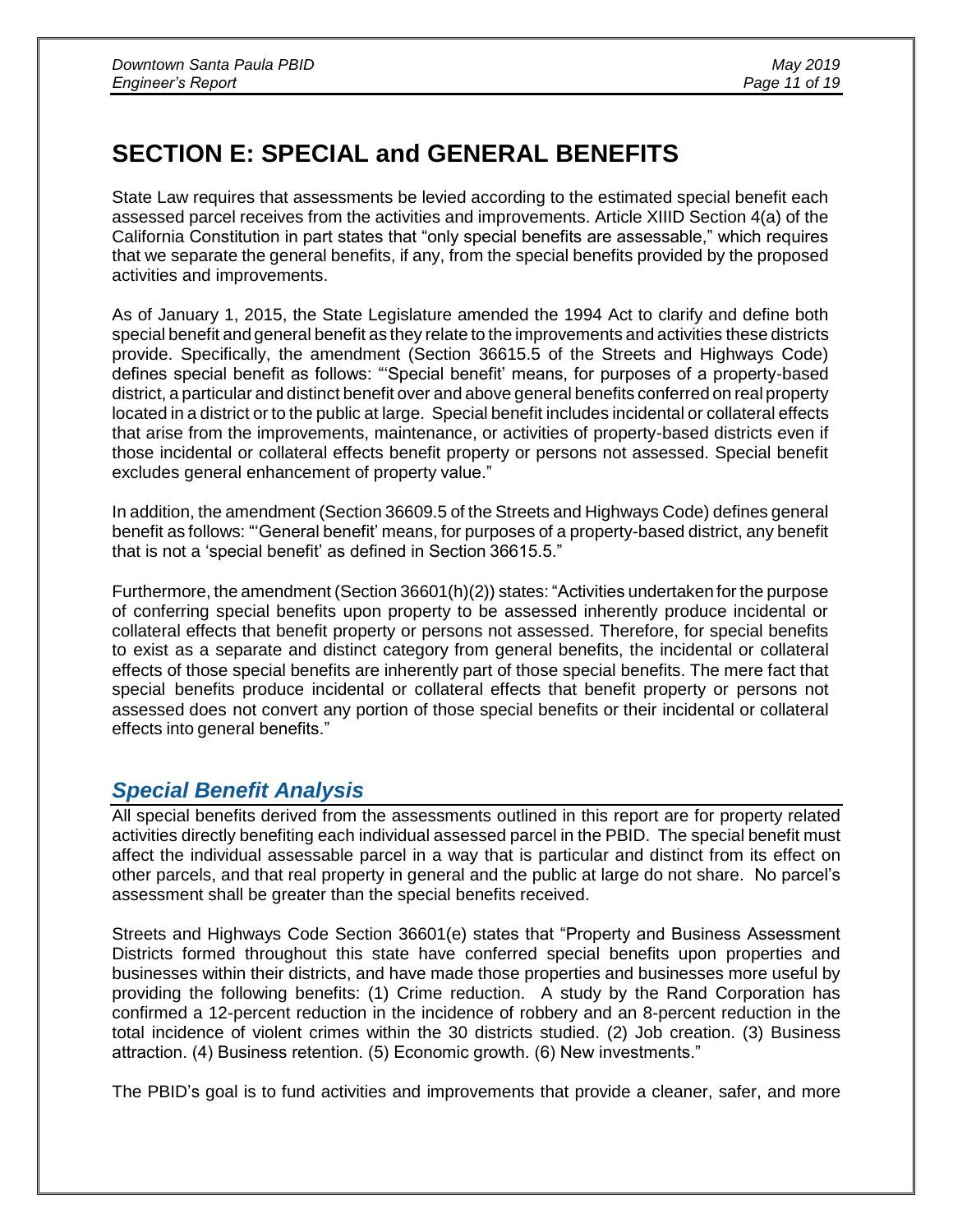# **SECTION E: SPECIAL and GENERAL BENEFITS**

State Law requires that assessments be levied according to the estimated special benefit each assessed parcel receives from the activities and improvements. Article XIIID Section 4(a) of the California Constitution in part states that "only special benefits are assessable," which requires that we separate the general benefits, if any, from the special benefits provided by the proposed activities and improvements.

As of January 1, 2015, the State Legislature amended the 1994 Act to clarify and define both special benefit and general benefit as they relate to the improvements and activities these districts provide. Specifically, the amendment (Section 36615.5 of the Streets and Highways Code) defines special benefit as follows: "'Special benefit' means, for purposes of a property-based district, a particular and distinct benefit over and above general benefits conferred on real property located in a district or to the public at large. Special benefit includes incidental or collateral effects that arise from the improvements, maintenance, or activities of property-based districts even if those incidental or collateral effects benefit property or persons not assessed. Special benefit excludes general enhancement of property value."

In addition, the amendment (Section 36609.5 of the Streets and Highways Code) defines general benefit as follows: "'General benefit' means, for purposes of a property-based district, any benefit that is not a 'special benefit' as defined in Section 36615.5."

Furthermore, the amendment (Section 36601(h)(2)) states: "Activities undertaken for the purpose of conferring special benefits upon property to be assessed inherently produce incidental or collateral effects that benefit property or persons not assessed. Therefore, for special benefits to exist as a separate and distinct category from general benefits, the incidental or collateral effects of those special benefits are inherently part of those special benefits. The mere fact that special benefits produce incidental or collateral effects that benefit property or persons not assessed does not convert any portion of those special benefits or their incidental or collateral effects into general benefits."

# *Special Benefit Analysis*

All special benefits derived from the assessments outlined in this report are for property related activities directly benefiting each individual assessed parcel in the PBID. The special benefit must affect the individual assessable parcel in a way that is particular and distinct from its effect on other parcels, and that real property in general and the public at large do not share. No parcel's assessment shall be greater than the special benefits received.

Streets and Highways Code Section 36601(e) states that "Property and Business Assessment Districts formed throughout this state have conferred special benefits upon properties and businesses within their districts, and have made those properties and businesses more useful by providing the following benefits: (1) Crime reduction. A study by the Rand Corporation has confirmed a 12-percent reduction in the incidence of robbery and an 8-percent reduction in the total incidence of violent crimes within the 30 districts studied. (2) Job creation. (3) Business attraction. (4) Business retention. (5) Economic growth. (6) New investments."

The PBID's goal is to fund activities and improvements that provide a cleaner, safer, and more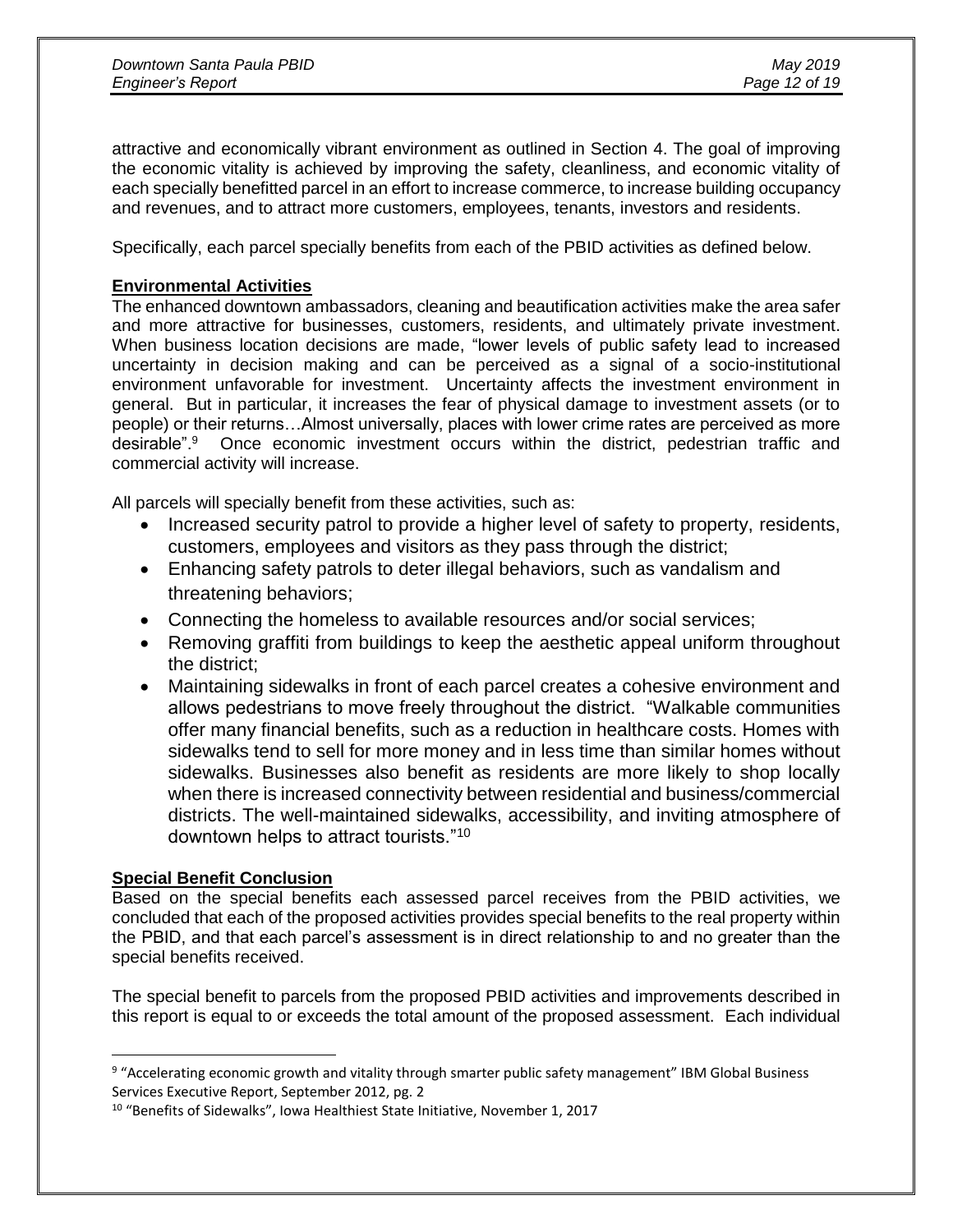attractive and economically vibrant environment as outlined in Section 4. The goal of improving the economic vitality is achieved by improving the safety, cleanliness, and economic vitality of each specially benefitted parcel in an effort to increase commerce, to increase building occupancy and revenues, and to attract more customers, employees, tenants, investors and residents.

Specifically, each parcel specially benefits from each of the PBID activities as defined below.

### **Environmental Activities**

The enhanced downtown ambassadors, cleaning and beautification activities make the area safer and more attractive for businesses, customers, residents, and ultimately private investment. When business location decisions are made, "lower levels of public safety lead to increased uncertainty in decision making and can be perceived as a signal of a socio-institutional environment unfavorable for investment. Uncertainty affects the investment environment in general. But in particular, it increases the fear of physical damage to investment assets (or to people) or their returns…Almost universally, places with lower crime rates are perceived as more desirable".<sup>9</sup> Once economic investment occurs within the district, pedestrian traffic and commercial activity will increase.

All parcels will specially benefit from these activities, such as:

- Increased security patrol to provide a higher level of safety to property, residents, customers, employees and visitors as they pass through the district;
- Enhancing safety patrols to deter illegal behaviors, such as vandalism and threatening behaviors;
- Connecting the homeless to available resources and/or social services;
- Removing graffiti from buildings to keep the aesthetic appeal uniform throughout the district;
- Maintaining sidewalks in front of each parcel creates a cohesive environment and allows pedestrians to move freely throughout the district. "Walkable communities offer many financial benefits, such as a reduction in healthcare costs. Homes with sidewalks tend to sell for more money and in less time than similar homes without sidewalks. Businesses also benefit as residents are more likely to shop locally when there is increased connectivity between residential and business/commercial districts. The well-maintained sidewalks, accessibility, and inviting atmosphere of downtown helps to attract tourists."<sup>10</sup>

### **Special Benefit Conclusion**

 $\overline{a}$ 

Based on the special benefits each assessed parcel receives from the PBID activities, we concluded that each of the proposed activities provides special benefits to the real property within the PBID, and that each parcel's assessment is in direct relationship to and no greater than the special benefits received.

The special benefit to parcels from the proposed PBID activities and improvements described in this report is equal to or exceeds the total amount of the proposed assessment. Each individual

<sup>&</sup>lt;sup>9</sup> "Accelerating economic growth and vitality through smarter public safety management" IBM Global Business Services Executive Report, September 2012, pg. 2

<sup>&</sup>lt;sup>10</sup> "Benefits of Sidewalks", Iowa Healthiest State Initiative, November 1, 2017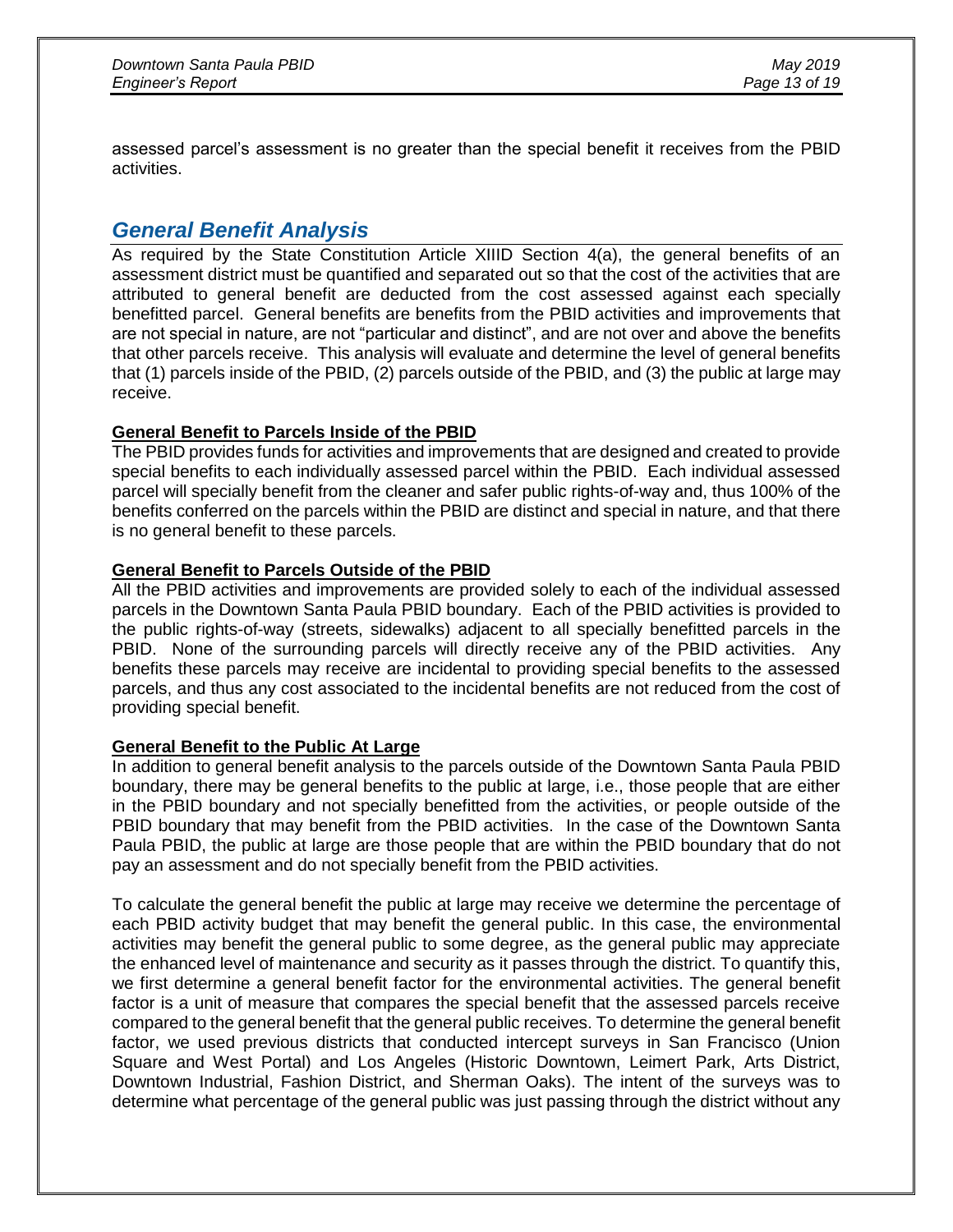assessed parcel's assessment is no greater than the special benefit it receives from the PBID activities.

### *General Benefit Analysis*

As required by the State Constitution Article XIIID Section 4(a), the general benefits of an assessment district must be quantified and separated out so that the cost of the activities that are attributed to general benefit are deducted from the cost assessed against each specially benefitted parcel. General benefits are benefits from the PBID activities and improvements that are not special in nature, are not "particular and distinct", and are not over and above the benefits that other parcels receive. This analysis will evaluate and determine the level of general benefits that (1) parcels inside of the PBID, (2) parcels outside of the PBID, and (3) the public at large may receive.

### **General Benefit to Parcels Inside of the PBID**

The PBID provides funds for activities and improvements that are designed and created to provide special benefits to each individually assessed parcel within the PBID. Each individual assessed parcel will specially benefit from the cleaner and safer public rights-of-way and, thus 100% of the benefits conferred on the parcels within the PBID are distinct and special in nature, and that there is no general benefit to these parcels.

### **General Benefit to Parcels Outside of the PBID**

All the PBID activities and improvements are provided solely to each of the individual assessed parcels in the Downtown Santa Paula PBID boundary. Each of the PBID activities is provided to the public rights-of-way (streets, sidewalks) adjacent to all specially benefitted parcels in the PBID. None of the surrounding parcels will directly receive any of the PBID activities. Any benefits these parcels may receive are incidental to providing special benefits to the assessed parcels, and thus any cost associated to the incidental benefits are not reduced from the cost of providing special benefit.

#### **General Benefit to the Public At Large**

In addition to general benefit analysis to the parcels outside of the Downtown Santa Paula PBID boundary, there may be general benefits to the public at large, i.e., those people that are either in the PBID boundary and not specially benefitted from the activities, or people outside of the PBID boundary that may benefit from the PBID activities. In the case of the Downtown Santa Paula PBID, the public at large are those people that are within the PBID boundary that do not pay an assessment and do not specially benefit from the PBID activities.

To calculate the general benefit the public at large may receive we determine the percentage of each PBID activity budget that may benefit the general public. In this case, the environmental activities may benefit the general public to some degree, as the general public may appreciate the enhanced level of maintenance and security as it passes through the district. To quantify this, we first determine a general benefit factor for the environmental activities. The general benefit factor is a unit of measure that compares the special benefit that the assessed parcels receive compared to the general benefit that the general public receives. To determine the general benefit factor, we used previous districts that conducted intercept surveys in San Francisco (Union Square and West Portal) and Los Angeles (Historic Downtown, Leimert Park, Arts District, Downtown Industrial, Fashion District, and Sherman Oaks). The intent of the surveys was to determine what percentage of the general public was just passing through the district without any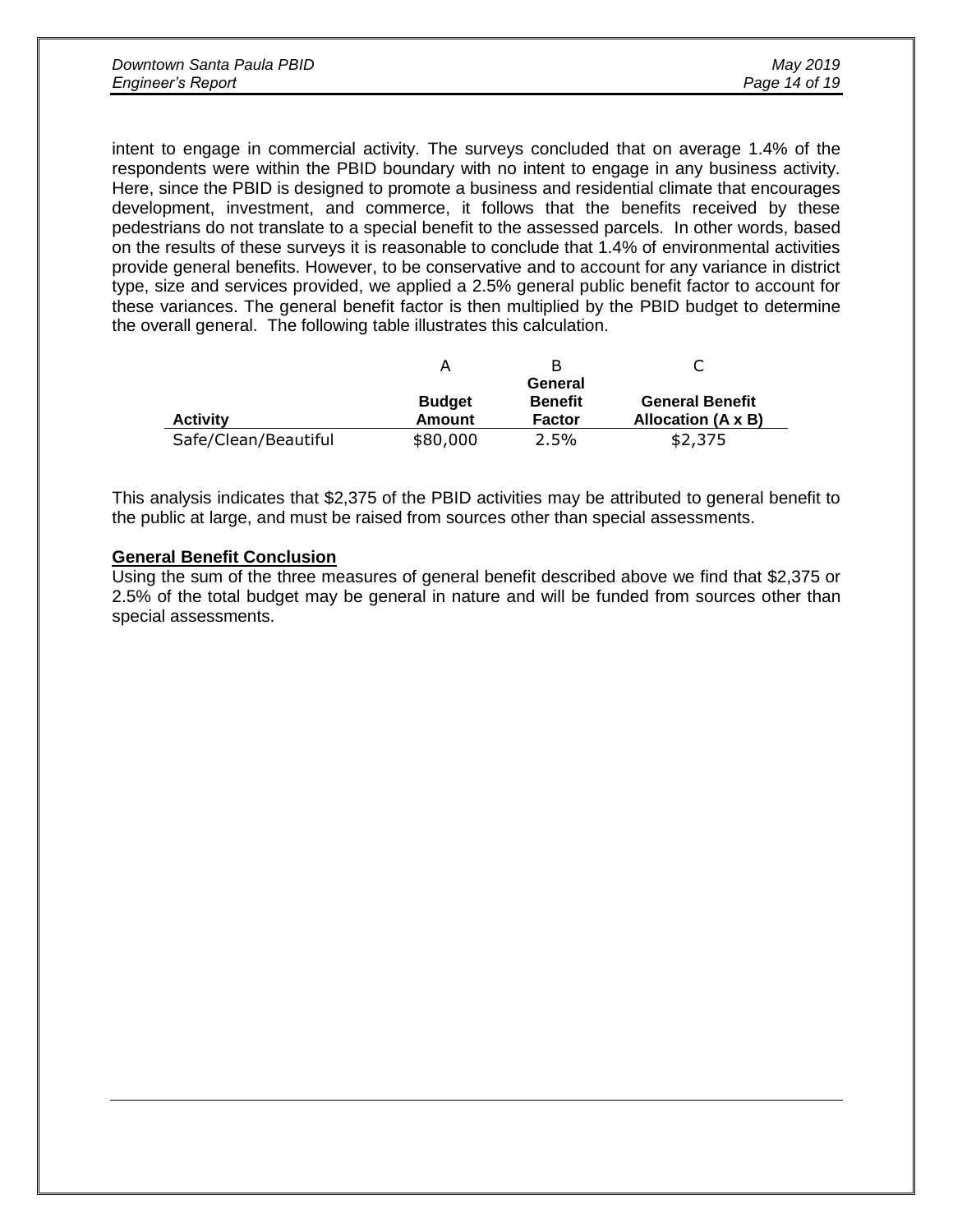| Downtown Santa Paula PBID | May 2019      |
|---------------------------|---------------|
| <b>Engineer's Report</b>  | Page 14 of 19 |

intent to engage in commercial activity. The surveys concluded that on average 1.4% of the respondents were within the PBID boundary with no intent to engage in any business activity. Here, since the PBID is designed to promote a business and residential climate that encourages development, investment, and commerce, it follows that the benefits received by these pedestrians do not translate to a special benefit to the assessed parcels. In other words, based on the results of these surveys it is reasonable to conclude that 1.4% of environmental activities provide general benefits. However, to be conservative and to account for any variance in district type, size and services provided, we applied a 2.5% general public benefit factor to account for these variances. The general benefit factor is then multiplied by the PBID budget to determine the overall general. The following table illustrates this calculation.

|                      |               | В              |                        |
|----------------------|---------------|----------------|------------------------|
|                      |               | General        |                        |
|                      | <b>Budget</b> | <b>Benefit</b> | <b>General Benefit</b> |
| <b>Activity</b>      | Amount        | <b>Factor</b>  | Allocation (A x B)     |
| Safe/Clean/Beautiful | \$80,000      | 2.5%           | \$2,375                |

This analysis indicates that \$2,375 of the PBID activities may be attributed to general benefit to the public at large, and must be raised from sources other than special assessments.

#### **General Benefit Conclusion**

Using the sum of the three measures of general benefit described above we find that \$2,375 or 2.5% of the total budget may be general in nature and will be funded from sources other than special assessments.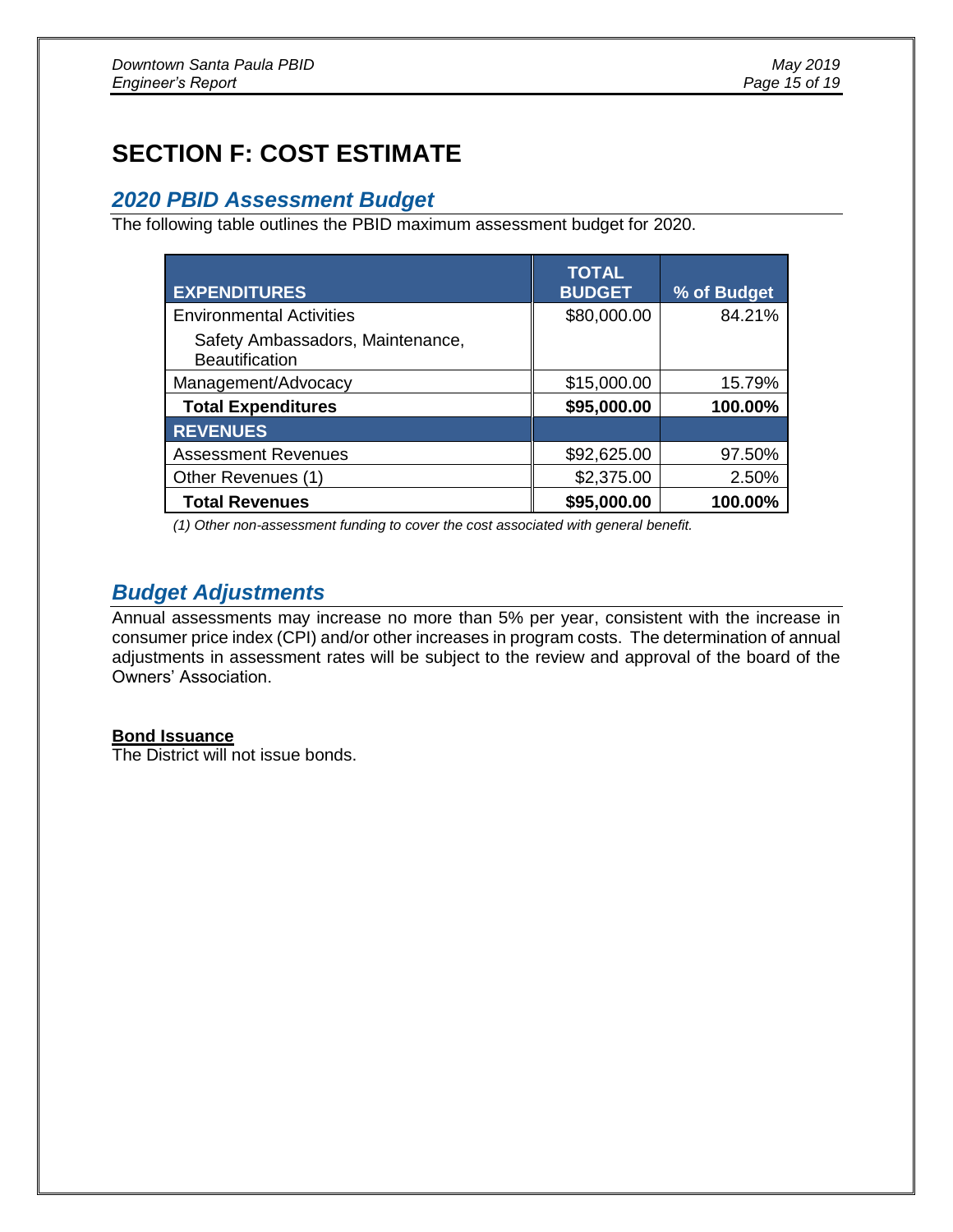# **SECTION F: COST ESTIMATE**

### *2020 PBID Assessment Budget*

The following table outlines the PBID maximum assessment budget for 2020.

| <b>EXPENDITURES</b>                                       | <b>TOTAL</b><br><b>BUDGET</b> | % of Budget |
|-----------------------------------------------------------|-------------------------------|-------------|
| <b>Environmental Activities</b>                           | \$80,000.00                   | 84.21%      |
| Safety Ambassadors, Maintenance,<br><b>Beautification</b> |                               |             |
| Management/Advocacy                                       | \$15,000.00                   | 15.79%      |
| <b>Total Expenditures</b>                                 | \$95,000.00                   | 100.00%     |
| <b>REVENUES</b>                                           |                               |             |
| <b>Assessment Revenues</b>                                | \$92,625.00                   | 97.50%      |
| Other Revenues (1)                                        | \$2,375.00                    | 2.50%       |
| <b>Total Revenues</b>                                     | \$95,000.00                   | 100.00%     |

*(1) Other non-assessment funding to cover the cost associated with general benefit.*

# *Budget Adjustments*

Annual assessments may increase no more than 5% per year, consistent with the increase in consumer price index (CPI) and/or other increases in program costs. The determination of annual adjustments in assessment rates will be subject to the review and approval of the board of the Owners' Association.

### **Bond Issuance**

The District will not issue bonds.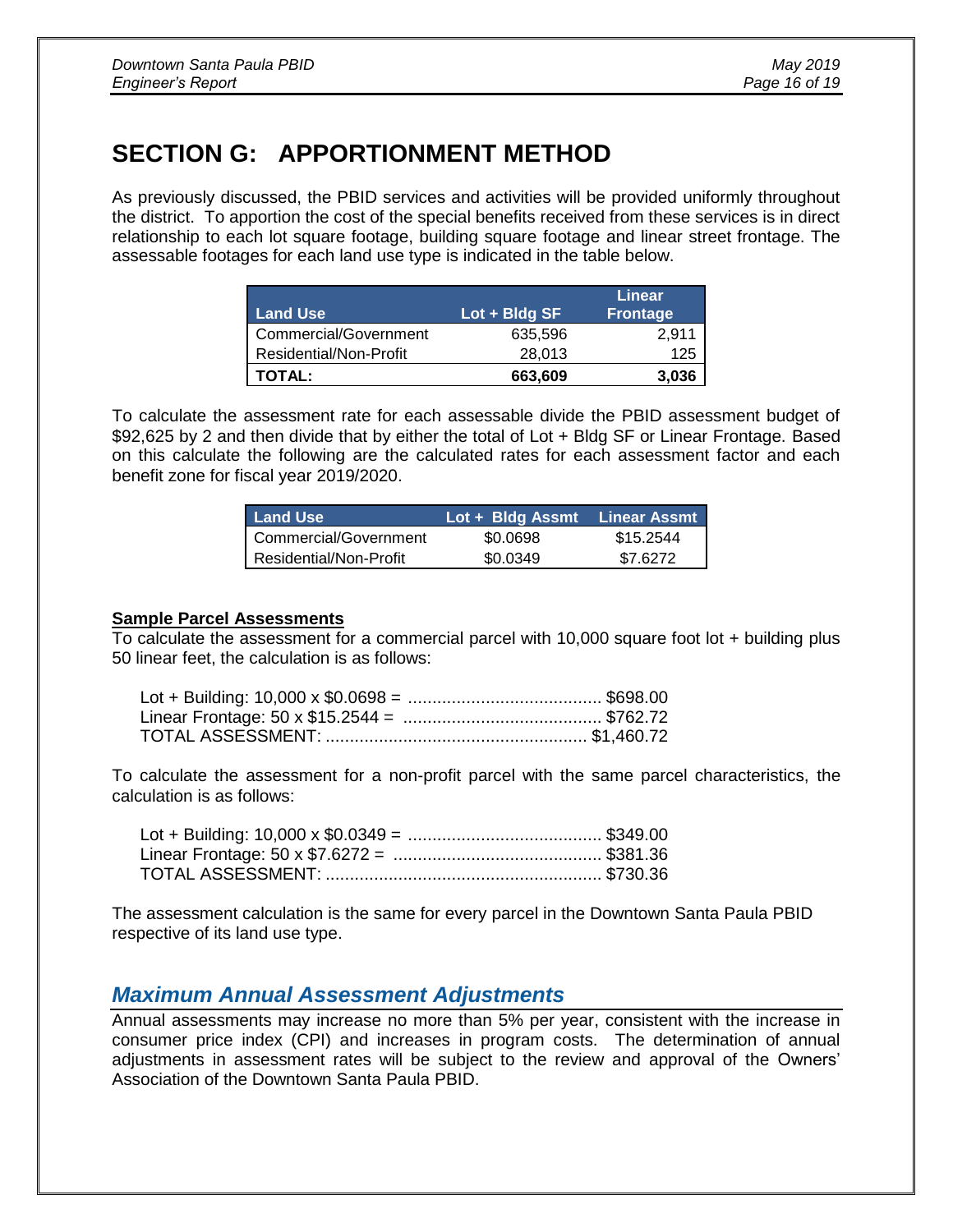# **SECTION G: APPORTIONMENT METHOD**

As previously discussed, the PBID services and activities will be provided uniformly throughout the district. To apportion the cost of the special benefits received from these services is in direct relationship to each lot square footage, building square footage and linear street frontage. The assessable footages for each land use type is indicated in the table below.

| <b>Land Use</b>        | $Lot + Bldg SF$ | Linear<br><b>Frontage</b> |
|------------------------|-----------------|---------------------------|
| Commercial/Government  | 635,596         | 2,911                     |
| Residential/Non-Profit | 28.013          | 125                       |
| <b>TOTAL:</b>          | 663,609         | 3.036                     |

To calculate the assessment rate for each assessable divide the PBID assessment budget of \$92,625 by 2 and then divide that by either the total of Lot + Bldg SF or Linear Frontage. Based on this calculate the following are the calculated rates for each assessment factor and each benefit zone for fiscal year 2019/2020.

| <b>Land Use</b> ⊺      | Lot + Bldg Assmt | <b>Linear Assmt</b> |
|------------------------|------------------|---------------------|
| Commercial/Government  | \$0.0698         | \$15.2544           |
| Residential/Non-Profit | \$0.0349         | \$7.6272            |

#### **Sample Parcel Assessments**

To calculate the assessment for a commercial parcel with 10,000 square foot lot + building plus 50 linear feet, the calculation is as follows:

To calculate the assessment for a non-profit parcel with the same parcel characteristics, the calculation is as follows:

The assessment calculation is the same for every parcel in the Downtown Santa Paula PBID respective of its land use type.

# *Maximum Annual Assessment Adjustments*

Annual assessments may increase no more than 5% per year, consistent with the increase in consumer price index (CPI) and increases in program costs. The determination of annual adjustments in assessment rates will be subject to the review and approval of the Owners' Association of the Downtown Santa Paula PBID.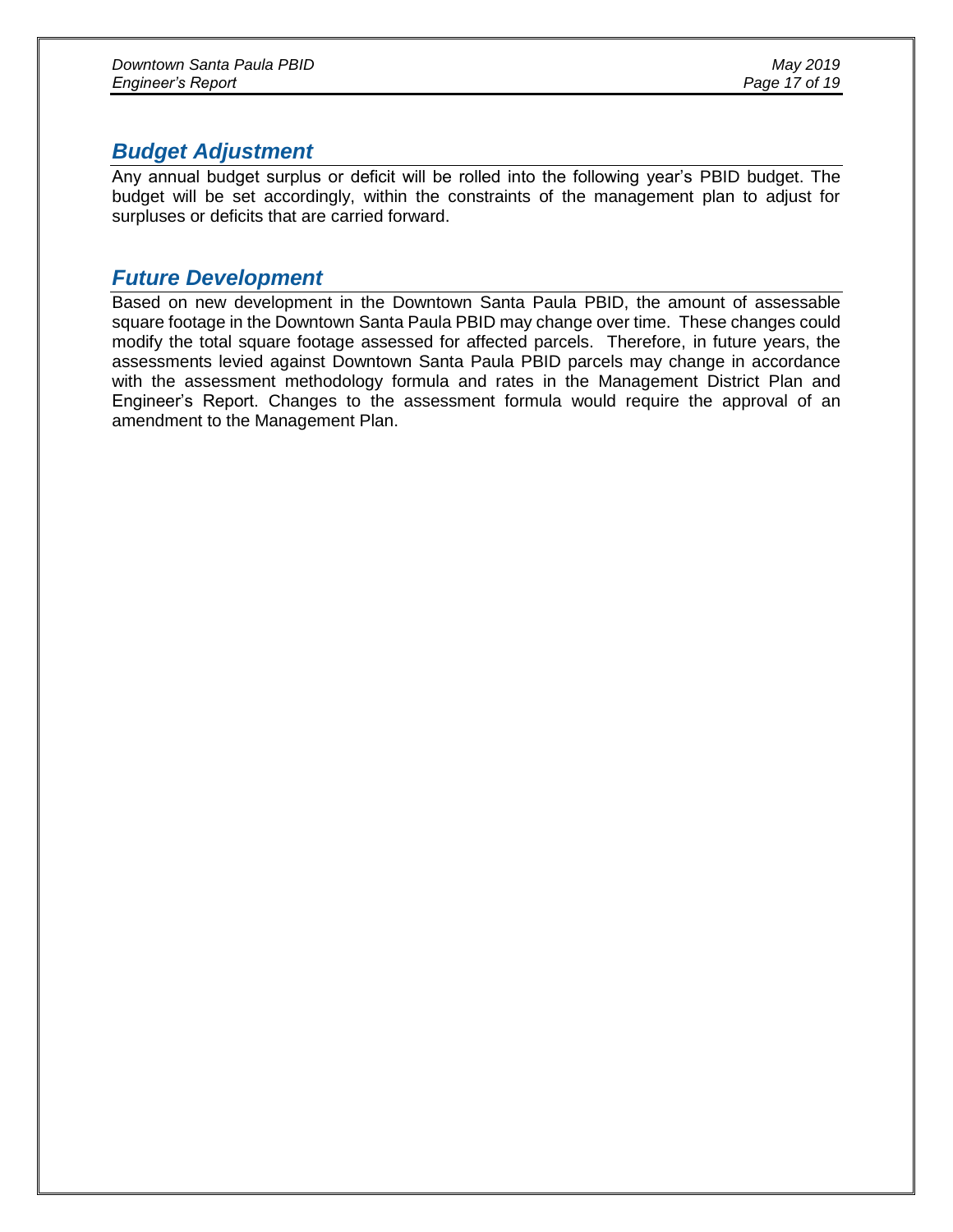# *Budget Adjustment*

Any annual budget surplus or deficit will be rolled into the following year's PBID budget. The budget will be set accordingly, within the constraints of the management plan to adjust for surpluses or deficits that are carried forward.

# *Future Development*

Based on new development in the Downtown Santa Paula PBID, the amount of assessable square footage in the Downtown Santa Paula PBID may change over time. These changes could modify the total square footage assessed for affected parcels. Therefore, in future years, the assessments levied against Downtown Santa Paula PBID parcels may change in accordance with the assessment methodology formula and rates in the Management District Plan and Engineer's Report. Changes to the assessment formula would require the approval of an amendment to the Management Plan.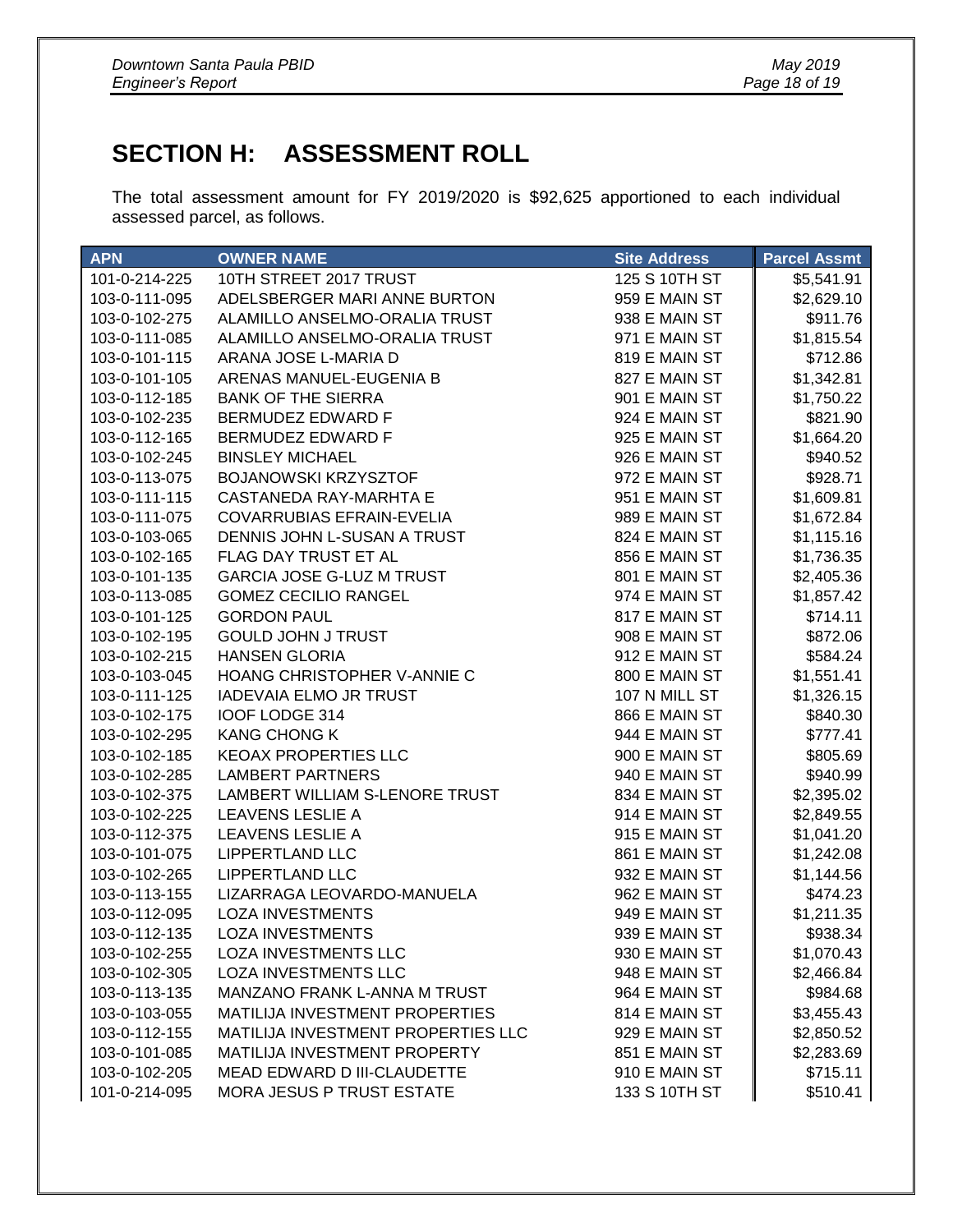# **SECTION H: ASSESSMENT ROLL**

The total assessment amount for FY 2019/2020 is \$92,625 apportioned to each individual assessed parcel, as follows.

| <b>APN</b>    | <b>OWNER NAME</b>                     | <b>Site Address</b> | <b>Parcel Assmt</b> |
|---------------|---------------------------------------|---------------------|---------------------|
| 101-0-214-225 | 10TH STREET 2017 TRUST                | 125 S 10TH ST       | \$5,541.91          |
| 103-0-111-095 | ADELSBERGER MARI ANNE BURTON          | 959 E MAIN ST       | \$2,629.10          |
| 103-0-102-275 | ALAMILLO ANSELMO-ORALIA TRUST         | 938 E MAIN ST       | \$911.76            |
| 103-0-111-085 | ALAMILLO ANSELMO-ORALIA TRUST         | 971 E MAIN ST       | \$1,815.54          |
| 103-0-101-115 | ARANA JOSE L-MARIA D                  | 819 E MAIN ST       | \$712.86            |
| 103-0-101-105 | ARENAS MANUEL-EUGENIA B               | 827 E MAIN ST       | \$1,342.81          |
| 103-0-112-185 | <b>BANK OF THE SIERRA</b>             | 901 E MAIN ST       | \$1,750.22          |
| 103-0-102-235 | BERMUDEZ EDWARD F                     | 924 E MAIN ST       | \$821.90            |
| 103-0-112-165 | BERMUDEZ EDWARD F                     | 925 E MAIN ST       | \$1,664.20          |
| 103-0-102-245 | <b>BINSLEY MICHAEL</b>                | 926 E MAIN ST       | \$940.52            |
| 103-0-113-075 | <b>BOJANOWSKI KRZYSZTOF</b>           | 972 E MAIN ST       | \$928.71            |
| 103-0-111-115 | CASTANEDA RAY-MARHTA E                | 951 E MAIN ST       | \$1,609.81          |
| 103-0-111-075 | <b>COVARRUBIAS EFRAIN-EVELIA</b>      | 989 E MAIN ST       | \$1,672.84          |
| 103-0-103-065 | DENNIS JOHN L-SUSAN A TRUST           | 824 E MAIN ST       | \$1,115.16          |
| 103-0-102-165 | FLAG DAY TRUST ET AL                  | 856 E MAIN ST       | \$1,736.35          |
| 103-0-101-135 | <b>GARCIA JOSE G-LUZ M TRUST</b>      | 801 E MAIN ST       | \$2,405.36          |
| 103-0-113-085 | <b>GOMEZ CECILIO RANGEL</b>           | 974 E MAIN ST       | \$1,857.42          |
| 103-0-101-125 | <b>GORDON PAUL</b>                    | 817 E MAIN ST       | \$714.11            |
| 103-0-102-195 | <b>GOULD JOHN J TRUST</b>             | 908 E MAIN ST       | \$872.06            |
| 103-0-102-215 | <b>HANSEN GLORIA</b>                  | 912 E MAIN ST       | \$584.24            |
| 103-0-103-045 | HOANG CHRISTOPHER V-ANNIE C           | 800 E MAIN ST       | \$1,551.41          |
| 103-0-111-125 | <b>IADEVAIA ELMO JR TRUST</b>         | 107 N MILL ST       | \$1,326.15          |
| 103-0-102-175 | IOOF LODGE 314                        | 866 E MAIN ST       | \$840.30            |
| 103-0-102-295 | <b>KANG CHONG K</b>                   | 944 E MAIN ST       | \$777.41            |
| 103-0-102-185 | <b>KEOAX PROPERTIES LLC</b>           | 900 E MAIN ST       | \$805.69            |
| 103-0-102-285 | <b>LAMBERT PARTNERS</b>               | 940 E MAIN ST       | \$940.99            |
| 103-0-102-375 | LAMBERT WILLIAM S-LENORE TRUST        | 834 E MAIN ST       | \$2,395.02          |
| 103-0-102-225 | <b>LEAVENS LESLIE A</b>               | 914 E MAIN ST       | \$2,849.55          |
| 103-0-112-375 | <b>LEAVENS LESLIE A</b>               | 915 E MAIN ST       | \$1,041.20          |
| 103-0-101-075 | <b>LIPPERTLAND LLC</b>                | 861 E MAIN ST       | \$1,242.08          |
| 103-0-102-265 | <b>LIPPERTLAND LLC</b>                | 932 E MAIN ST       | \$1,144.56          |
| 103-0-113-155 | LIZARRAGA LEOVARDO-MANUELA            | 962 E MAIN ST       | \$474.23            |
| 103-0-112-095 | <b>LOZA INVESTMENTS</b>               | 949 E MAIN ST       | \$1,211.35          |
| 103-0-112-135 | <b>LOZA INVESTMENTS</b>               | 939 E MAIN ST       | \$938.34            |
| 103-0-102-255 | <b>LOZA INVESTMENTS LLC</b>           | 930 E MAIN ST       | \$1,070.43          |
| 103-0-102-305 | <b>LOZA INVESTMENTS LLC</b>           | 948 E MAIN ST       | \$2,466.84          |
| 103-0-113-135 | MANZANO FRANK L-ANNA M TRUST          | 964 E MAIN ST       | \$984.68            |
| 103-0-103-055 | <b>MATILIJA INVESTMENT PROPERTIES</b> | 814 E MAIN ST       | \$3,455.43          |
| 103-0-112-155 | MATILIJA INVESTMENT PROPERTIES LLC    | 929 E MAIN ST       | \$2,850.52          |
| 103-0-101-085 | MATILIJA INVESTMENT PROPERTY          | 851 E MAIN ST       | \$2,283.69          |
| 103-0-102-205 | MEAD EDWARD D III-CLAUDETTE           | 910 E MAIN ST       | \$715.11            |
| 101-0-214-095 | <b>MORA JESUS P TRUST ESTATE</b>      | 133 S 10TH ST       | \$510.41            |